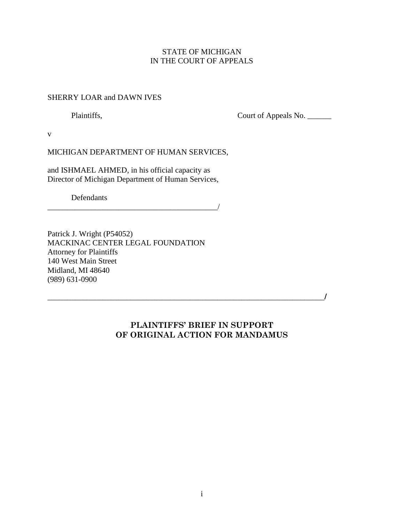### STATE OF MICHIGAN IN THE COURT OF APPEALS

### SHERRY LOAR and DAWN IVES

Plaintiffs, Court of Appeals No. \_\_\_\_\_\_\_

v

MICHIGAN DEPARTMENT OF HUMAN SERVICES,

and ISHMAEL AHMED, in his official capacity as Director of Michigan Department of Human Services,

Defendants

\_\_\_\_\_\_\_\_\_\_\_\_\_\_\_\_\_\_\_\_\_\_\_\_\_\_\_\_\_\_\_\_\_\_\_\_\_\_\_\_\_\_\_/

Patrick J. Wright (P54052) MACKINAC CENTER LEGAL FOUNDATION Attorney for Plaintiffs 140 West Main Street Midland, MI 48640 (989) 631-0900

## PLAINTIFFS' BRIEF IN SUPPORT OF ORIGINAL ACTION FOR MANDAMUS

\_\_\_\_\_\_\_\_\_\_\_\_\_\_\_\_\_\_\_\_\_\_\_\_\_\_\_\_\_\_\_\_\_\_\_\_\_\_\_\_\_\_\_\_\_\_\_\_\_\_\_\_\_\_\_\_\_\_\_\_\_\_\_\_\_\_\_\_\_\_/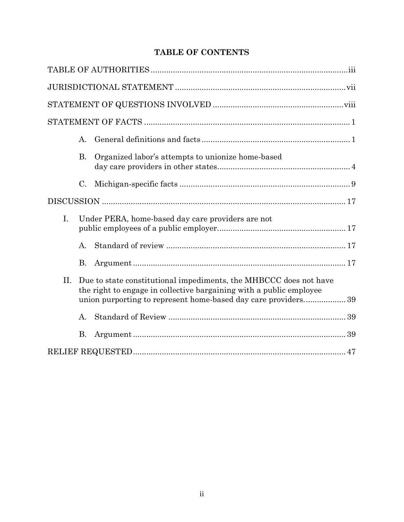# TABLE OF CONTENTS

|             | А.             |                                                                                                                                                                                                            |  |
|-------------|----------------|------------------------------------------------------------------------------------------------------------------------------------------------------------------------------------------------------------|--|
|             | <b>B.</b>      | Organized labor's attempts to unionize home-based                                                                                                                                                          |  |
|             | C.             |                                                                                                                                                                                                            |  |
|             |                |                                                                                                                                                                                                            |  |
| $I_{\cdot}$ |                | Under PERA, home-based day care providers are not                                                                                                                                                          |  |
|             | $\mathbf{A}$ . |                                                                                                                                                                                                            |  |
|             | <b>B.</b>      |                                                                                                                                                                                                            |  |
| П.          |                | Due to state constitutional impediments, the MHBCCC does not have<br>the right to engage in collective bargaining with a public employee<br>union purporting to represent home-based day care providers 39 |  |
|             | A.             |                                                                                                                                                                                                            |  |
|             | <b>B.</b>      |                                                                                                                                                                                                            |  |
|             |                |                                                                                                                                                                                                            |  |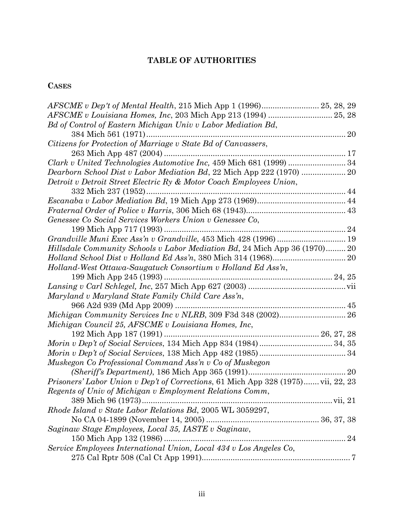# TABLE OF AUTHORITIES

# **CASES**

| AFSCME v Dep't of Mental Health, 215 Mich App 1 (1996) 25, 28, 29                 |  |
|-----------------------------------------------------------------------------------|--|
|                                                                                   |  |
| Bd of Control of Eastern Michigan Univ v Labor Mediation Bd,                      |  |
| 384 Mich 561 (1971)                                                               |  |
| Citizens for Protection of Marriage v State Bd of Canvassers,                     |  |
|                                                                                   |  |
| Clark v United Technologies Automotive Inc, 459 Mich 681 (1999)  34               |  |
| Dearborn School Dist v Labor Mediation Bd, 22 Mich App 222 (1970)  20             |  |
| Detroit v Detroit Street Electric Ry & Motor Coach Employees Union,               |  |
| 332 Mich 237 (1952)<br>.                                                          |  |
|                                                                                   |  |
|                                                                                   |  |
| Genessee Co Social Services Workers Union v Genessee Co,                          |  |
|                                                                                   |  |
|                                                                                   |  |
| <i>Hillsdale Community Schools v Labor Mediation Bd, 24 Mich App 36 (1970)20</i>  |  |
|                                                                                   |  |
| Holland-West Ottawa-Saugatuck Consortium v Holland Ed Ass'n,                      |  |
|                                                                                   |  |
|                                                                                   |  |
| Maryland v Maryland State Family Child Care Ass'n,                                |  |
|                                                                                   |  |
|                                                                                   |  |
| Michigan Council 25, AFSCME v Louisiana Homes, Inc.                               |  |
|                                                                                   |  |
|                                                                                   |  |
|                                                                                   |  |
| Muskegon Co Professional Command Ass'n v Co of Muskegon                           |  |
|                                                                                   |  |
| Prisoners' Labor Union v Dep't of Corrections, 61 Mich App 328 (1975) vii, 22, 23 |  |
| Regents of Univ of Michigan v Employment Relations Comm,                          |  |
|                                                                                   |  |
| Rhode Island v State Labor Relations Bd, 2005 WL 3059297,                         |  |
|                                                                                   |  |
| Saginaw Stage Employees, Local 35, IASTE v Saginaw,                               |  |
| 150 Mich App 132 (1986)                                                           |  |
| Service Employees International Union, Local 434 v Los Angeles Co,                |  |
|                                                                                   |  |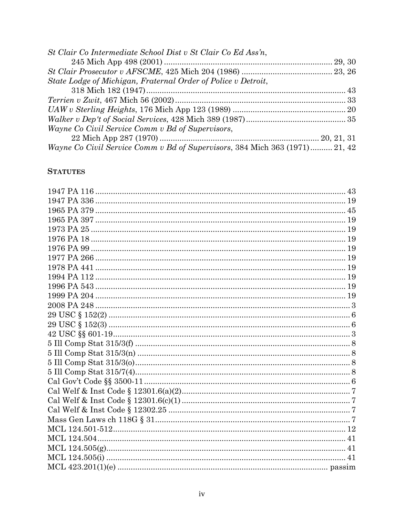| St Clair Co Intermediate School Dist v St Clair Co Ed Ass'n,                |  |
|-----------------------------------------------------------------------------|--|
|                                                                             |  |
|                                                                             |  |
| State Lodge of Michigan, Fraternal Order of Police v Detroit,               |  |
|                                                                             |  |
|                                                                             |  |
|                                                                             |  |
|                                                                             |  |
| Wayne Co Civil Service Comm v Bd of Supervisors,                            |  |
|                                                                             |  |
| Wayne Co Civil Service Comm v Bd of Supervisors, 384 Mich 363 (1971) 21, 42 |  |

## **STATUTES**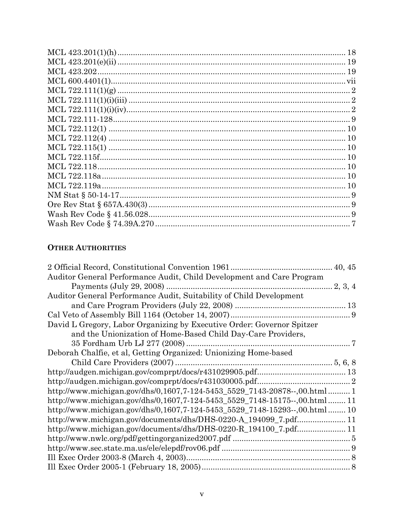| MCL 722.115f. |  |
|---------------|--|
|               |  |
|               |  |
|               |  |
|               |  |
|               |  |
|               |  |
|               |  |
|               |  |

## **OTHER AUTHORITIES**

| Auditor General Performance Audit, Child Development and Care Program      |  |
|----------------------------------------------------------------------------|--|
|                                                                            |  |
| Auditor General Performance Audit, Suitability of Child Development        |  |
|                                                                            |  |
|                                                                            |  |
| David L Gregory, Labor Organizing by Executive Order: Governor Spitzer     |  |
| and the Unionization of Home-Based Child Day-Care Providers,               |  |
|                                                                            |  |
| Deborah Chalfie, et al, Getting Organized: Unionizing Home-based           |  |
|                                                                            |  |
|                                                                            |  |
|                                                                            |  |
| http://www.michigan.gov/dhs/0,1607,7-124-5453 5529 7143-20878--,00.html1   |  |
| http://www.michigan.gov/dhs/0,1607,7-124-5453_5529_7148-15175--,00.html 11 |  |
| http://www.michigan.gov/dhs/0,1607,7-124-5453_5529_7148-15293--,00.html10  |  |
| http://www.michigan.gov/documents/dhs/DHS-0220-A_194099_7.pdf11            |  |
|                                                                            |  |
|                                                                            |  |
|                                                                            |  |
|                                                                            |  |
|                                                                            |  |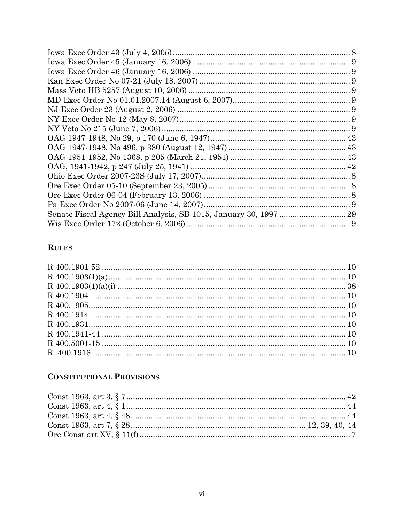## **RULES**

# **CONSTITUTIONAL PROVISIONS**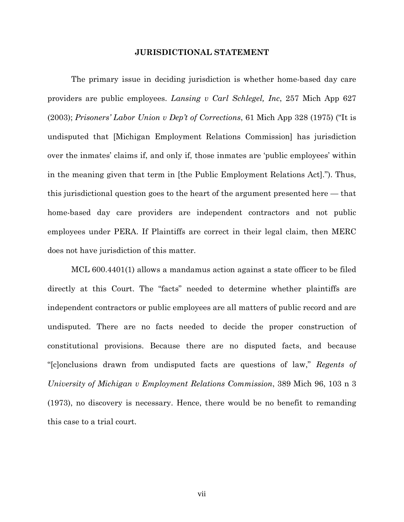#### JURISDICTIONAL STATEMENT

The primary issue in deciding jurisdiction is whether home-based day care providers are public employees. Lansing v Carl Schlegel, Inc, 257 Mich App 627 (2003); Prisoners' Labor Union v Dep't of Corrections, 61 Mich App 328 (1975) ("It is undisputed that [Michigan Employment Relations Commission] has jurisdiction over the inmates' claims if, and only if, those inmates are 'public employees' within in the meaning given that term in [the Public Employment Relations Act]."). Thus, this jurisdictional question goes to the heart of the argument presented here — that home-based day care providers are independent contractors and not public employees under PERA. If Plaintiffs are correct in their legal claim, then MERC does not have jurisdiction of this matter.

MCL 600.4401(1) allows a mandamus action against a state officer to be filed directly at this Court. The "facts" needed to determine whether plaintiffs are independent contractors or public employees are all matters of public record and are undisputed. There are no facts needed to decide the proper construction of constitutional provisions. Because there are no disputed facts, and because "[c]onclusions drawn from undisputed facts are questions of law," Regents of University of Michigan v Employment Relations Commission, 389 Mich 96, 103 n 3 (1973), no discovery is necessary. Hence, there would be no benefit to remanding this case to a trial court.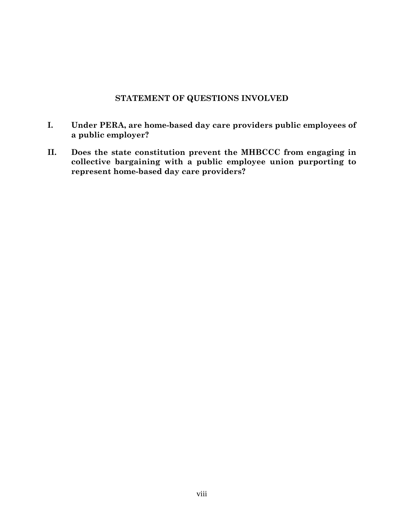## STATEMENT OF QUESTIONS INVOLVED

- I. Under PERA, are home-based day care providers public employees of a public employer?
- II. Does the state constitution prevent the MHBCCC from engaging in collective bargaining with a public employee union purporting to represent home-based day care providers?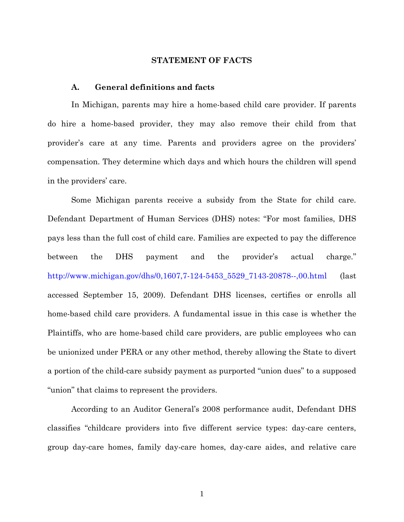#### STATEMENT OF FACTS

#### A. General definitions and facts

In Michigan, parents may hire a home-based child care provider. If parents do hire a home-based provider, they may also remove their child from that provider's care at any time. Parents and providers agree on the providers' compensation. They determine which days and which hours the children will spend in the providers' care.

Some Michigan parents receive a subsidy from the State for child care. Defendant Department of Human Services (DHS) notes: "For most families, DHS pays less than the full cost of child care. Families are expected to pay the difference between the DHS payment and the provider's actual charge." http://www.michigan.gov/dhs/0,1607,7-124-5453\_5529\_7143-20878--,00.html (last accessed September 15, 2009). Defendant DHS licenses, certifies or enrolls all home-based child care providers. A fundamental issue in this case is whether the Plaintiffs, who are home-based child care providers, are public employees who can be unionized under PERA or any other method, thereby allowing the State to divert a portion of the child-care subsidy payment as purported "union dues" to a supposed "union" that claims to represent the providers.

According to an Auditor General's 2008 performance audit, Defendant DHS classifies "childcare providers into five different service types: day-care centers, group day-care homes, family day-care homes, day-care aides, and relative care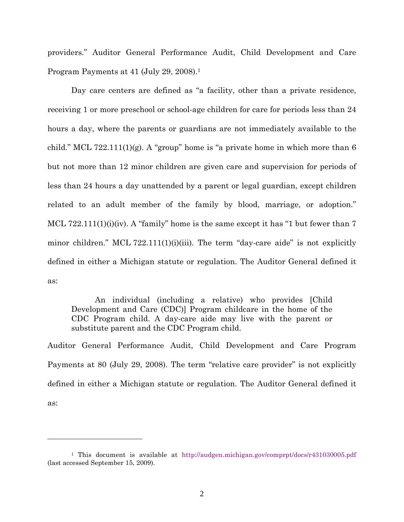providers." Auditor General Performance Audit, Child Development and Care Program Payments at 41 (July 29, 2008).<sup>1</sup>

Day care centers are defined as "a facility, other than a private residence, receiving 1 or more preschool or school-age children for care for periods less than 24 hours a day, where the parents or guardians are not immediately available to the child." MCL 722.111(1)(g). A "group" home is "a private home in which more than 6 but not more than 12 minor children are given care and supervision for periods of less than 24 hours a day unattended by a parent or legal guardian, except children related to an adult member of the family by blood, marriage, or adoption." MCL 722.111(1)(i)(iv). A "family" home is the same except it has "1 but fewer than 7 minor children." MCL 722.111(1)(i)(iii). The term "day-care aide" is not explicitly defined in either a Michigan statute or regulation. The Auditor General defined it as:

An individual (including a relative) who provides [Child Development and Care (CDC)] Program childcare in the home of the CDC Program child. A day-care aide may live with the parent or substitute parent and the CDC Program child.

Auditor General Performance Audit, Child Development and Care Program Payments at 80 (July 29, 2008). The term "relative care provider" is not explicitly defined in either a Michigan statute or regulation. The Auditor General defined it as:

<sup>1</sup> This document is available at http://audgen.michigan.gov/comprpt/docs/r431030005.pdf (last accessed September 15, 2009).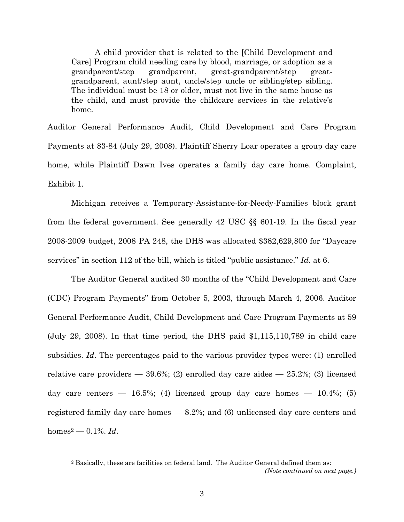A child provider that is related to the [Child Development and Care] Program child needing care by blood, marriage, or adoption as a grandparent/step grandparent, great-grandparent/step greatgrandparent, aunt/step aunt, uncle/step uncle or sibling/step sibling. The individual must be 18 or older, must not live in the same house as the child, and must provide the childcare services in the relative's home.

Auditor General Performance Audit, Child Development and Care Program Payments at 83-84 (July 29, 2008). Plaintiff Sherry Loar operates a group day care home, while Plaintiff Dawn Ives operates a family day care home. Complaint, Exhibit 1.

Michigan receives a Temporary-Assistance-for-Needy-Families block grant from the federal government. See generally 42 USC §§ 601-19. In the fiscal year 2008-2009 budget, 2008 PA 248, the DHS was allocated \$382,629,800 for "Daycare services" in section 112 of the bill, which is titled "public assistance." Id. at 6.

The Auditor General audited 30 months of the "Child Development and Care (CDC) Program Payments" from October 5, 2003, through March 4, 2006. Auditor General Performance Audit, Child Development and Care Program Payments at 59 (July 29, 2008). In that time period, the DHS paid \$1,115,110,789 in child care subsidies. Id. The percentages paid to the various provider types were: (1) enrolled relative care providers  $-39.6\%$ ; (2) enrolled day care aides  $-25.2\%$ ; (3) licensed day care centers  $-$  16.5%; (4) licensed group day care homes  $-$  10.4%; (5) registered family day care homes — 8.2%; and (6) unlicensed day care centers and  $homes^2 - 0.1\%$ . *Id.* 

-

<sup>2</sup> Basically, these are facilities on federal land. The Auditor General defined them as:

<sup>(</sup>Note continued on next page.)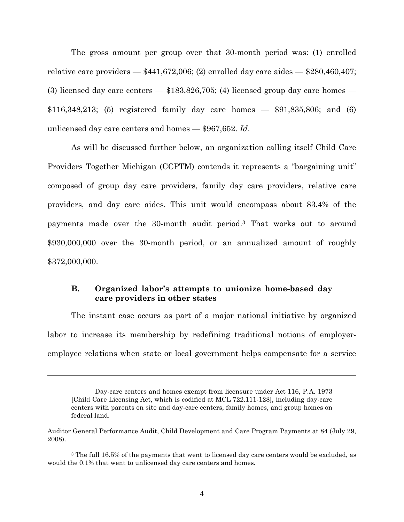The gross amount per group over that 30-month period was: (1) enrolled relative care providers  $-$  \$441,672,006; (2) enrolled day care aides  $-$  \$280,460,407; (3) licensed day care centers — \$183,826,705; (4) licensed group day care homes — \$116,348,213; (5) registered family day care homes — \$91,835,806; and (6) unlicensed day care centers and homes — \$967,652. Id.

As will be discussed further below, an organization calling itself Child Care Providers Together Michigan (CCPTM) contends it represents a "bargaining unit" composed of group day care providers, family day care providers, relative care providers, and day care aides. This unit would encompass about 83.4% of the payments made over the 30-month audit period.3 That works out to around \$930,000,000 over the 30-month period, or an annualized amount of roughly \$372,000,000.

### B. Organized labor's attempts to unionize home-based day care providers in other states

The instant case occurs as part of a major national initiative by organized labor to increase its membership by redefining traditional notions of employeremployee relations when state or local government helps compensate for a service

Day-care centers and homes exempt from licensure under Act 116, P.A. 1973 [Child Care Licensing Act, which is codified at MCL 722.111-128], including day-care centers with parents on site and day-care centers, family homes, and group homes on federal land.

Auditor General Performance Audit, Child Development and Care Program Payments at 84 (July 29, 2008).

<sup>&</sup>lt;sup>3</sup> The full 16.5% of the payments that went to licensed day care centers would be excluded, as would the 0.1% that went to unlicensed day care centers and homes.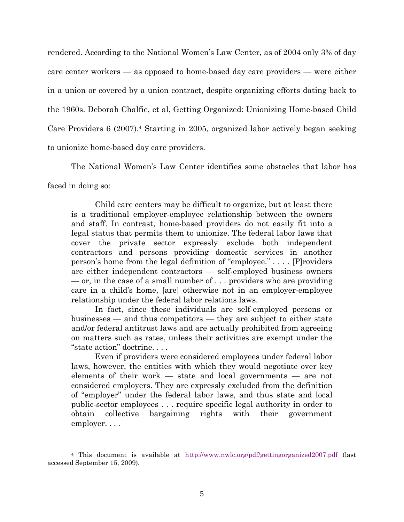rendered. According to the National Women's Law Center, as of 2004 only 3% of day care center workers — as opposed to home-based day care providers — were either in a union or covered by a union contract, despite organizing efforts dating back to the 1960s. Deborah Chalfie, et al, Getting Organized: Unionizing Home-based Child Care Providers 6 (2007).4 Starting in 2005, organized labor actively began seeking to unionize home-based day care providers.

The National Women's Law Center identifies some obstacles that labor has

faced in doing so:

<u>.</u>

Child care centers may be difficult to organize, but at least there is a traditional employer-employee relationship between the owners and staff. In contrast, home-based providers do not easily fit into a legal status that permits them to unionize. The federal labor laws that cover the private sector expressly exclude both independent contractors and persons providing domestic services in another person's home from the legal definition of "employee." . . . . [P]roviders are either independent contractors — self-employed business owners — or, in the case of a small number of . . . providers who are providing care in a child's home, [are] otherwise not in an employer-employee relationship under the federal labor relations laws.

 In fact, since these individuals are self-employed persons or businesses — and thus competitors — they are subject to either state and/or federal antitrust laws and are actually prohibited from agreeing on matters such as rates, unless their activities are exempt under the "state action" doctrine. . . .

Even if providers were considered employees under federal labor laws, however, the entities with which they would negotiate over key elements of their work — state and local governments — are not considered employers. They are expressly excluded from the definition of "employer" under the federal labor laws, and thus state and local public-sector employees . . . require specific legal authority in order to obtain collective bargaining rights with their government employer. . . .

<sup>4</sup> This document is available at http://www.nwlc.org/pdf/gettingorganized2007.pdf (last accessed September 15, 2009).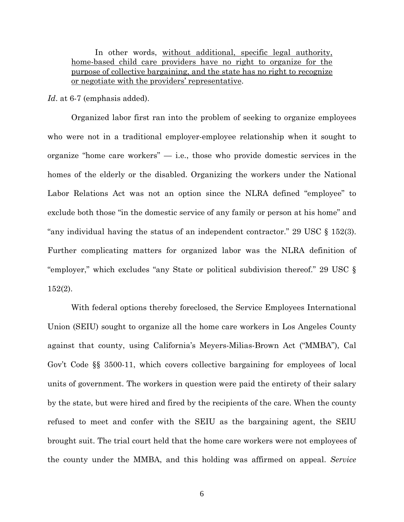In other words, without additional, specific legal authority, home-based child care providers have no right to organize for the purpose of collective bargaining, and the state has no right to recognize or negotiate with the providers' representative.

Id. at 6-7 (emphasis added).

Organized labor first ran into the problem of seeking to organize employees who were not in a traditional employer-employee relationship when it sought to organize "home care workers"  $-$  i.e., those who provide domestic services in the homes of the elderly or the disabled. Organizing the workers under the National Labor Relations Act was not an option since the NLRA defined "employee" to exclude both those "in the domestic service of any family or person at his home" and "any individual having the status of an independent contractor." 29 USC § 152(3). Further complicating matters for organized labor was the NLRA definition of "employer," which excludes "any State or political subdivision thereof." 29 USC § 152(2).

With federal options thereby foreclosed, the Service Employees International Union (SEIU) sought to organize all the home care workers in Los Angeles County against that county, using California's Meyers-Milias-Brown Act ("MMBA"), Cal Gov't Code §§ 3500-11, which covers collective bargaining for employees of local units of government. The workers in question were paid the entirety of their salary by the state, but were hired and fired by the recipients of the care. When the county refused to meet and confer with the SEIU as the bargaining agent, the SEIU brought suit. The trial court held that the home care workers were not employees of the county under the MMBA, and this holding was affirmed on appeal. Service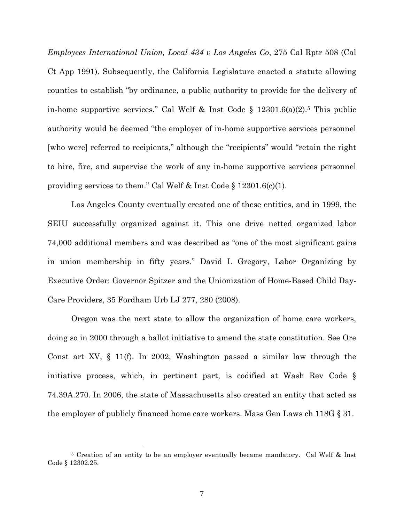Employees International Union, Local 434 v Los Angeles Co, 275 Cal Rptr 508 (Cal Ct App 1991). Subsequently, the California Legislature enacted a statute allowing counties to establish "by ordinance, a public authority to provide for the delivery of in-home supportive services." Cal Welf & Inst Code  $\S$  12301.6(a)(2).<sup>5</sup> This public authority would be deemed "the employer of in-home supportive services personnel [who were] referred to recipients," although the "recipients" would "retain the right to hire, fire, and supervise the work of any in-home supportive services personnel providing services to them." Cal Welf & Inst Code § 12301.6(c)(1).

Los Angeles County eventually created one of these entities, and in 1999, the SEIU successfully organized against it. This one drive netted organized labor 74,000 additional members and was described as "one of the most significant gains in union membership in fifty years." David L Gregory, Labor Organizing by Executive Order: Governor Spitzer and the Unionization of Home-Based Child Day-Care Providers, 35 Fordham Urb LJ 277, 280 (2008).

Oregon was the next state to allow the organization of home care workers, doing so in 2000 through a ballot initiative to amend the state constitution. See Ore Const art XV, § 11(f). In 2002, Washington passed a similar law through the initiative process, which, in pertinent part, is codified at Wash Rev Code § 74.39A.270. In 2006, the state of Massachusetts also created an entity that acted as the employer of publicly financed home care workers. Mass Gen Laws ch 118G § 31.

<sup>&</sup>lt;sup>5</sup> Creation of an entity to be an employer eventually became mandatory. Cal Welf & Inst Code § 12302.25.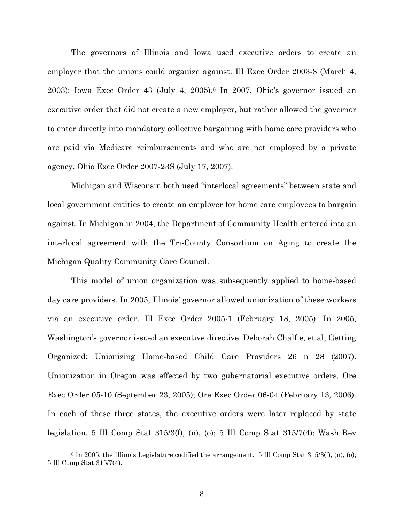The governors of Illinois and Iowa used executive orders to create an employer that the unions could organize against. Ill Exec Order 2003-8 (March 4, 2003); Iowa Exec Order 43 (July 4, 2005).6 In 2007, Ohio's governor issued an executive order that did not create a new employer, but rather allowed the governor to enter directly into mandatory collective bargaining with home care providers who are paid via Medicare reimbursements and who are not employed by a private agency. Ohio Exec Order 2007-23S (July 17, 2007).

Michigan and Wisconsin both used "interlocal agreements" between state and local government entities to create an employer for home care employees to bargain against. In Michigan in 2004, the Department of Community Health entered into an interlocal agreement with the Tri-County Consortium on Aging to create the Michigan Quality Community Care Council.

This model of union organization was subsequently applied to home-based day care providers. In 2005, Illinois' governor allowed unionization of these workers via an executive order. Ill Exec Order 2005-1 (February 18, 2005). In 2005, Washington's governor issued an executive directive. Deborah Chalfie, et al, Getting Organized: Unionizing Home-based Child Care Providers 26 n 28 (2007). Unionization in Oregon was effected by two gubernatorial executive orders. Ore Exec Order 05-10 (September 23, 2005); Ore Exec Order 06-04 (February 13, 2006). In each of these three states, the executive orders were later replaced by state legislation. 5 Ill Comp Stat 315/3(f), (n), (o); 5 Ill Comp Stat 315/7(4); Wash Rev

 $6 \text{ In } 2005$ , the Illinois Legislature codified the arrangement. 5 Ill Comp Stat 315/3(f), (n), (o); 5 Ill Comp Stat 315/7(4).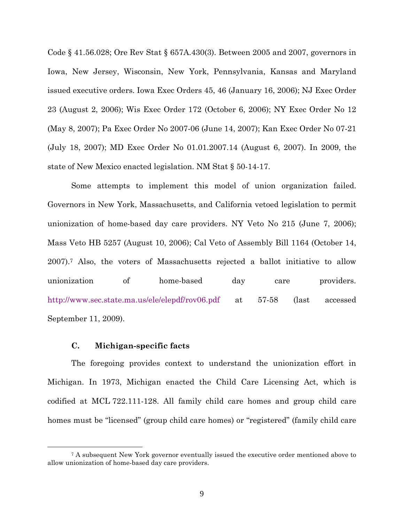Code § 41.56.028; Ore Rev Stat § 657A.430(3). Between 2005 and 2007, governors in Iowa, New Jersey, Wisconsin, New York, Pennsylvania, Kansas and Maryland issued executive orders. Iowa Exec Orders 45, 46 (January 16, 2006); NJ Exec Order 23 (August 2, 2006); Wis Exec Order 172 (October 6, 2006); NY Exec Order No 12 (May 8, 2007); Pa Exec Order No 2007-06 (June 14, 2007); Kan Exec Order No 07-21 (July 18, 2007); MD Exec Order No 01.01.2007.14 (August 6, 2007). In 2009, the state of New Mexico enacted legislation. NM Stat § 50-14-17.

Some attempts to implement this model of union organization failed. Governors in New York, Massachusetts, and California vetoed legislation to permit unionization of home-based day care providers. NY Veto No 215 (June 7, 2006); Mass Veto HB 5257 (August 10, 2006); Cal Veto of Assembly Bill 1164 (October 14, 2007).7 Also, the voters of Massachusetts rejected a ballot initiative to allow unionization of home-based day care providers. http://www.sec.state.ma.us/ele/elepdf/rov06.pdf at 57-58 (last accessed September 11, 2009).

#### C. Michigan-specific facts

<u>.</u>

The foregoing provides context to understand the unionization effort in Michigan. In 1973, Michigan enacted the Child Care Licensing Act, which is codified at MCL 722.111-128. All family child care homes and group child care homes must be "licensed" (group child care homes) or "registered" (family child care

<sup>7</sup> A subsequent New York governor eventually issued the executive order mentioned above to allow unionization of home-based day care providers.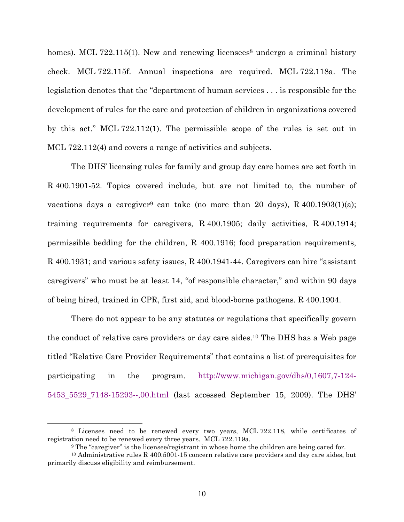homes). MCL 722.115(1). New and renewing licensees<sup>8</sup> undergo a criminal history check. MCL 722.115f. Annual inspections are required. MCL 722.118a. The legislation denotes that the "department of human services . . . is responsible for the development of rules for the care and protection of children in organizations covered by this act." MCL 722.112(1). The permissible scope of the rules is set out in MCL 722.112(4) and covers a range of activities and subjects.

The DHS' licensing rules for family and group day care homes are set forth in R 400.1901-52. Topics covered include, but are not limited to, the number of vacations days a caregiver<sup>9</sup> can take (no more than 20 days), R  $400.1903(1)(a)$ ; training requirements for caregivers, R 400.1905; daily activities, R 400.1914; permissible bedding for the children, R 400.1916; food preparation requirements, R 400.1931; and various safety issues, R 400.1941-44. Caregivers can hire "assistant caregivers" who must be at least 14, "of responsible character," and within 90 days of being hired, trained in CPR, first aid, and blood-borne pathogens. R 400.1904.

There do not appear to be any statutes or regulations that specifically govern the conduct of relative care providers or day care aides.10 The DHS has a Web page titled "Relative Care Provider Requirements" that contains a list of prerequisites for participating in the program. http://www.michigan.gov/dhs/0,1607,7-124- 5453\_5529\_7148-15293--,00.html (last accessed September 15, 2009). The DHS'

<sup>8</sup> Licenses need to be renewed every two years, MCL 722.118, while certificates of registration need to be renewed every three years. MCL 722.119a.

<sup>9</sup> The "caregiver" is the licensee/registrant in whose home the children are being cared for.

 $10$  Administrative rules R 400.5001-15 concern relative care providers and day care aides, but primarily discuss eligibility and reimbursement.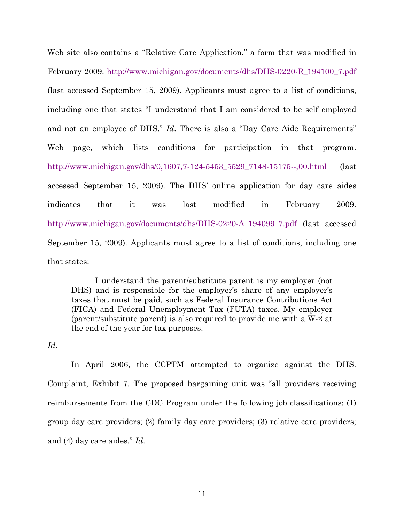Web site also contains a "Relative Care Application," a form that was modified in February 2009. http://www.michigan.gov/documents/dhs/DHS-0220-R\_194100\_7.pdf (last accessed September 15, 2009). Applicants must agree to a list of conditions, including one that states "I understand that I am considered to be self employed and not an employee of DHS." Id. There is also a "Day Care Aide Requirements" Web page, which lists conditions for participation in that program. http://www.michigan.gov/dhs/0,1607,7-124-5453\_5529\_7148-15175--,00.html (last accessed September 15, 2009). The DHS' online application for day care aides indicates that it was last modified in February 2009. http://www.michigan.gov/documents/dhs/DHS-0220-A\_194099\_7.pdf (last accessed September 15, 2009). Applicants must agree to a list of conditions, including one that states:

I understand the parent/substitute parent is my employer (not DHS) and is responsible for the employer's share of any employer's taxes that must be paid, such as Federal Insurance Contributions Act (FICA) and Federal Unemployment Tax (FUTA) taxes. My employer (parent/substitute parent) is also required to provide me with a W-2 at the end of the year for tax purposes.

Id.

In April 2006, the CCPTM attempted to organize against the DHS. Complaint, Exhibit 7. The proposed bargaining unit was "all providers receiving reimbursements from the CDC Program under the following job classifications: (1) group day care providers; (2) family day care providers; (3) relative care providers; and (4) day care aides." Id.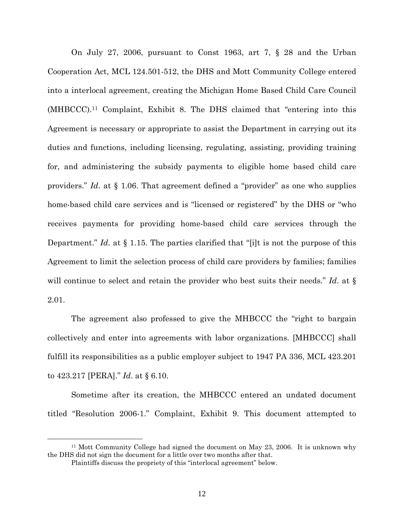On July 27, 2006, pursuant to Const 1963, art 7, § 28 and the Urban Cooperation Act, MCL 124.501-512, the DHS and Mott Community College entered into a interlocal agreement, creating the Michigan Home Based Child Care Council (MHBCCC).11 Complaint, Exhibit 8. The DHS claimed that "entering into this Agreement is necessary or appropriate to assist the Department in carrying out its duties and functions, including licensing, regulating, assisting, providing training for, and administering the subsidy payments to eligible home based child care providers." Id. at § 1.06. That agreement defined a "provider" as one who supplies home-based child care services and is "licensed or registered" by the DHS or "who receives payments for providing home-based child care services through the Department." Id. at  $\S 1.15$ . The parties clarified that "[i]t is not the purpose of this Agreement to limit the selection process of child care providers by families; families will continue to select and retain the provider who best suits their needs." Id. at  $\S$ 2.01.

The agreement also professed to give the MHBCCC the "right to bargain collectively and enter into agreements with labor organizations. [MHBCCC] shall fulfill its responsibilities as a public employer subject to 1947 PA 336, MCL 423.201 to 423.217 [PERA]." Id. at § 6.10.

Sometime after its creation, the MHBCCC entered an undated document titled "Resolution 2006-1." Complaint, Exhibit 9. This document attempted to

<sup>11</sup> Mott Community College had signed the document on May 23, 2006. It is unknown why the DHS did not sign the document for a little over two months after that.

Plaintiffs discuss the propriety of this "interlocal agreement" below.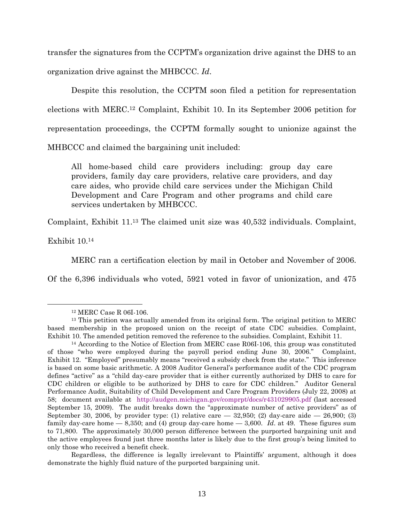transfer the signatures from the CCPTM's organization drive against the DHS to an organization drive against the MHBCCC. Id.

Despite this resolution, the CCPTM soon filed a petition for representation elections with MERC.12 Complaint, Exhibit 10. In its September 2006 petition for representation proceedings, the CCPTM formally sought to unionize against the MHBCCC and claimed the bargaining unit included:

All home-based child care providers including: group day care providers, family day care providers, relative care providers, and day care aides, who provide child care services under the Michigan Child Development and Care Program and other programs and child care services undertaken by MHBCCC.

Complaint, Exhibit 11.13 The claimed unit size was 40,532 individuals. Complaint,

Exhibit 10.<sup>14</sup>

<u>.</u>

MERC ran a certification election by mail in October and November of 2006.

Of the 6,396 individuals who voted, 5921 voted in favor of unionization, and 475

Regardless, the difference is legally irrelevant to Plaintiffs' argument, although it does demonstrate the highly fluid nature of the purported bargaining unit.

<sup>12</sup> MERC Case R 06I-106.

<sup>&</sup>lt;sup>13</sup> This petition was actually amended from its original form. The original petition to MERC based membership in the proposed union on the receipt of state CDC subsidies. Complaint, Exhibit 10. The amended petition removed the reference to the subsidies. Complaint, Exhibit 11.

<sup>14</sup> According to the Notice of Election from MERC case R06I-106, this group was constituted of those "who were employed during the payroll period ending June 30, 2006." Complaint, Exhibit 12. "Employed" presumably means "received a subsidy check from the state." This inference is based on some basic arithmetic. A 2008 Auditor General's performance audit of the CDC program defines "active" as a "child day-care provider that is either currently authorized by DHS to care for CDC children or eligible to be authorized by DHS to care for CDC children." Auditor General Performance Audit, Suitability of Child Development and Care Program Providers (July 22, 2008) at 58; document available at http://audgen.michigan.gov/comprpt/docs/r431029905.pdf (last accessed September 15, 2009). The audit breaks down the "approximate number of active providers" as of September 30, 2006, by provider type: (1) relative care  $-$  32,950; (2) day-care aide  $-$  26,900; (3) family day-care home  $-$  8,350; and (4) group day-care home  $-$  3,600. Id. at 49. These figures sum to 71,800. The approximately 30,000 person difference between the purported bargaining unit and the active employees found just three months later is likely due to the first group's being limited to only those who received a benefit check.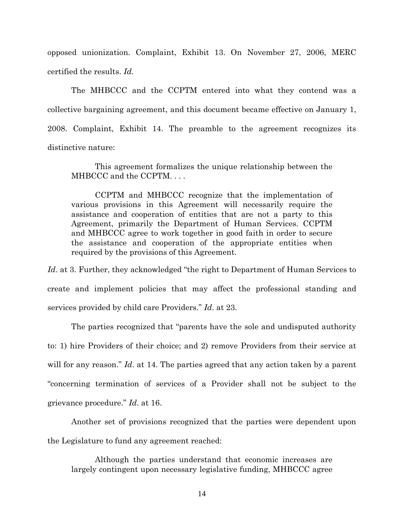opposed unionization. Complaint, Exhibit 13. On November 27, 2006, MERC certified the results. Id.

The MHBCCC and the CCPTM entered into what they contend was a collective bargaining agreement, and this document became effective on January 1, 2008. Complaint, Exhibit 14. The preamble to the agreement recognizes its distinctive nature:

This agreement formalizes the unique relationship between the MHBCCC and the CCPTM. . . .

CCPTM and MHBCCC recognize that the implementation of various provisions in this Agreement will necessarily require the assistance and cooperation of entities that are not a party to this Agreement, primarily the Department of Human Services. CCPTM and MHBCCC agree to work together in good faith in order to secure the assistance and cooperation of the appropriate entities when required by the provisions of this Agreement.

Id. at 3. Further, they acknowledged "the right to Department of Human Services to create and implement policies that may affect the professional standing and services provided by child care Providers." Id. at 23.

The parties recognized that "parents have the sole and undisputed authority to: 1) hire Providers of their choice; and 2) remove Providers from their service at will for any reason." Id. at 14. The parties agreed that any action taken by a parent "concerning termination of services of a Provider shall not be subject to the grievance procedure." Id. at 16.

Another set of provisions recognized that the parties were dependent upon the Legislature to fund any agreement reached:

Although the parties understand that economic increases are largely contingent upon necessary legislative funding, MHBCCC agree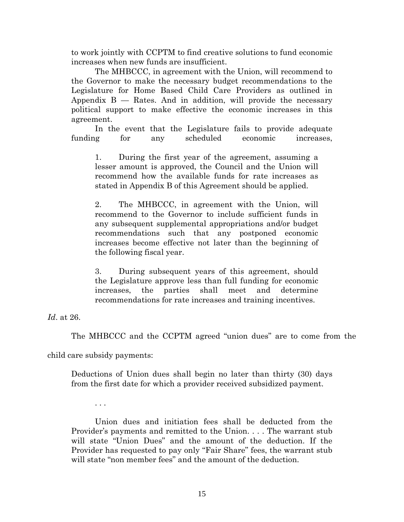to work jointly with CCPTM to find creative solutions to fund economic increases when new funds are insufficient.

The MHBCCC, in agreement with the Union, will recommend to the Governor to make the necessary budget recommendations to the Legislature for Home Based Child Care Providers as outlined in Appendix  $B - R$  ates. And in addition, will provide the necessary political support to make effective the economic increases in this agreement.

In the event that the Legislature fails to provide adequate funding for any scheduled economic increases,

1. During the first year of the agreement, assuming a lesser amount is approved, the Council and the Union will recommend how the available funds for rate increases as stated in Appendix B of this Agreement should be applied.

2. The MHBCCC, in agreement with the Union, will recommend to the Governor to include sufficient funds in any subsequent supplemental appropriations and/or budget recommendations such that any postponed economic increases become effective not later than the beginning of the following fiscal year.

3. During subsequent years of this agreement, should the Legislature approve less than full funding for economic increases, the parties shall meet and determine recommendations for rate increases and training incentives.

Id. at 26.

The MHBCCC and the CCPTM agreed "union dues" are to come from the

child care subsidy payments:

. . .

Deductions of Union dues shall begin no later than thirty (30) days from the first date for which a provider received subsidized payment.

Union dues and initiation fees shall be deducted from the Provider's payments and remitted to the Union. . . . The warrant stub will state "Union Dues" and the amount of the deduction. If the Provider has requested to pay only "Fair Share" fees, the warrant stub will state "non member fees" and the amount of the deduction.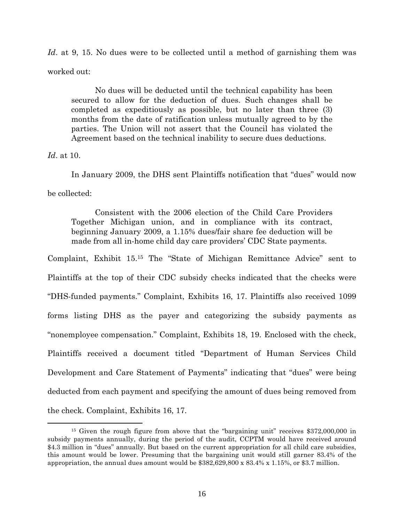Id. at 9, 15. No dues were to be collected until a method of garnishing them was worked out:

No dues will be deducted until the technical capability has been secured to allow for the deduction of dues. Such changes shall be completed as expeditiously as possible, but no later than three (3) months from the date of ratification unless mutually agreed to by the parties. The Union will not assert that the Council has violated the Agreement based on the technical inability to secure dues deductions.

Id. at 10.

<u>.</u>

In January 2009, the DHS sent Plaintiffs notification that "dues" would now be collected:

Consistent with the 2006 election of the Child Care Providers Together Michigan union, and in compliance with its contract, beginning January 2009, a 1.15% dues/fair share fee deduction will be made from all in-home child day care providers' CDC State payments.

Complaint, Exhibit 15.15 The "State of Michigan Remittance Advice" sent to Plaintiffs at the top of their CDC subsidy checks indicated that the checks were "DHS-funded payments." Complaint, Exhibits 16, 17. Plaintiffs also received 1099 forms listing DHS as the payer and categorizing the subsidy payments as "nonemployee compensation." Complaint, Exhibits 18, 19. Enclosed with the check, Plaintiffs received a document titled "Department of Human Services Child Development and Care Statement of Payments" indicating that "dues" were being deducted from each payment and specifying the amount of dues being removed from the check. Complaint, Exhibits 16, 17.

<sup>&</sup>lt;sup>15</sup> Given the rough figure from above that the "bargaining unit" receives \$372,000,000 in subsidy payments annually, during the period of the audit, CCPTM would have received around \$4.3 million in "dues" annually. But based on the current appropriation for all child care subsidies, this amount would be lower. Presuming that the bargaining unit would still garner 83.4% of the appropriation, the annual dues amount would be \$382,629,800 x 83.4% x 1.15%, or \$3.7 million.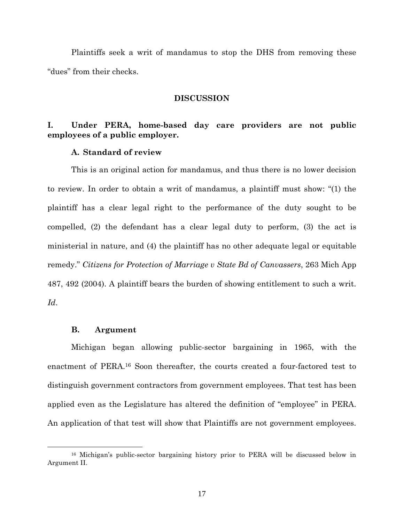Plaintiffs seek a writ of mandamus to stop the DHS from removing these "dues" from their checks.

#### DISCUSSION

### I. Under PERA, home-based day care providers are not public employees of a public employer.

### A. Standard of review

This is an original action for mandamus, and thus there is no lower decision to review. In order to obtain a writ of mandamus, a plaintiff must show: "(1) the plaintiff has a clear legal right to the performance of the duty sought to be compelled, (2) the defendant has a clear legal duty to perform, (3) the act is ministerial in nature, and (4) the plaintiff has no other adequate legal or equitable remedy." Citizens for Protection of Marriage v State Bd of Canvassers, 263 Mich App 487, 492 (2004). A plaintiff bears the burden of showing entitlement to such a writ. Id.

#### B. Argument

<u>.</u>

Michigan began allowing public-sector bargaining in 1965, with the enactment of PERA.16 Soon thereafter, the courts created a four-factored test to distinguish government contractors from government employees. That test has been applied even as the Legislature has altered the definition of "employee" in PERA. An application of that test will show that Plaintiffs are not government employees.

<sup>&</sup>lt;sup>16</sup> Michigan's public-sector bargaining history prior to PERA will be discussed below in Argument II.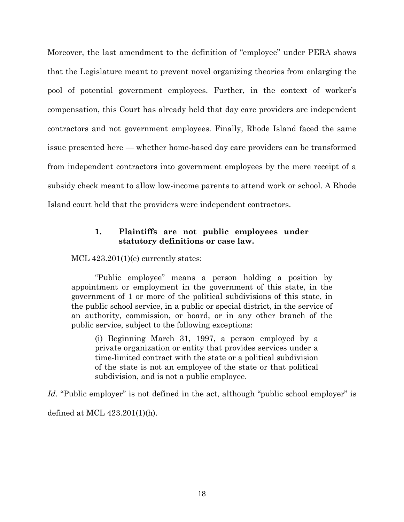Moreover, the last amendment to the definition of "employee" under PERA shows that the Legislature meant to prevent novel organizing theories from enlarging the pool of potential government employees. Further, in the context of worker's compensation, this Court has already held that day care providers are independent contractors and not government employees. Finally, Rhode Island faced the same issue presented here — whether home-based day care providers can be transformed from independent contractors into government employees by the mere receipt of a subsidy check meant to allow low-income parents to attend work or school. A Rhode Island court held that the providers were independent contractors.

### 1. Plaintiffs are not public employees under statutory definitions or case law.

MCL  $423.201(1)(e)$  currently states:

"Public employee" means a person holding a position by appointment or employment in the government of this state, in the government of 1 or more of the political subdivisions of this state, in the public school service, in a public or special district, in the service of an authority, commission, or board, or in any other branch of the public service, subject to the following exceptions:

(i) Beginning March 31, 1997, a person employed by a private organization or entity that provides services under a time-limited contract with the state or a political subdivision of the state is not an employee of the state or that political subdivision, and is not a public employee.

Id. "Public employer" is not defined in the act, although "public school employer" is defined at MCL 423.201(1)(h).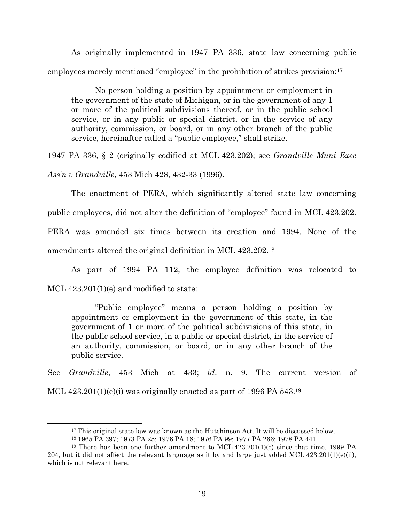As originally implemented in 1947 PA 336, state law concerning public employees merely mentioned "employee" in the prohibition of strikes provision:<sup>17</sup>

No person holding a position by appointment or employment in the government of the state of Michigan, or in the government of any 1 or more of the political subdivisions thereof, or in the public school service, or in any public or special district, or in the service of any authority, commission, or board, or in any other branch of the public service, hereinafter called a "public employee," shall strike.

1947 PA 336, § 2 (originally codified at MCL 423.202); see Grandville Muni Exec Ass'n v Grandville, 453 Mich 428, 432-33 (1996).

The enactment of PERA, which significantly altered state law concerning public employees, did not alter the definition of "employee" found in MCL 423.202. PERA was amended six times between its creation and 1994. None of the amendments altered the original definition in MCL 423.202.<sup>18</sup>

As part of 1994 PA 112, the employee definition was relocated to MCL  $423.201(1)(e)$  and modified to state:

"Public employee" means a person holding a position by appointment or employment in the government of this state, in the government of 1 or more of the political subdivisions of this state, in the public school service, in a public or special district, in the service of an authority, commission, or board, or in any other branch of the public service.

See Grandville, 453 Mich at 433; id. n. 9. The current version of

MCL  $423.201(1)(e)(i)$  was originally enacted as part of 1996 PA 543.<sup>19</sup>

<sup>&</sup>lt;sup>17</sup> This original state law was known as the Hutchinson Act. It will be discussed below.

<sup>18</sup> 1965 PA 397; 1973 PA 25; 1976 PA 18; 1976 PA 99; 1977 PA 266; 1978 PA 441.

<sup>19</sup> There has been one further amendment to MCL 423.201(1)(e) since that time, 1999 PA 204, but it did not affect the relevant language as it by and large just added MCL  $423.201(1)(e)(ii)$ , which is not relevant here.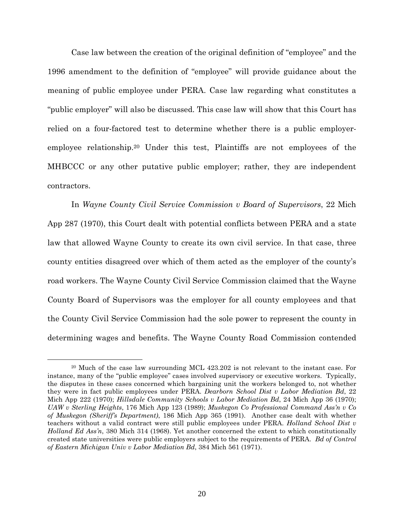Case law between the creation of the original definition of "employee" and the 1996 amendment to the definition of "employee" will provide guidance about the meaning of public employee under PERA. Case law regarding what constitutes a "public employer" will also be discussed. This case law will show that this Court has relied on a four-factored test to determine whether there is a public employeremployee relationship.20 Under this test, Plaintiffs are not employees of the MHBCCC or any other putative public employer; rather, they are independent contractors.

In Wayne County Civil Service Commission v Board of Supervisors, 22 Mich App 287 (1970), this Court dealt with potential conflicts between PERA and a state law that allowed Wayne County to create its own civil service. In that case, three county entities disagreed over which of them acted as the employer of the county's road workers. The Wayne County Civil Service Commission claimed that the Wayne County Board of Supervisors was the employer for all county employees and that the County Civil Service Commission had the sole power to represent the county in determining wages and benefits. The Wayne County Road Commission contended

<sup>20</sup> Much of the case law surrounding MCL 423.202 is not relevant to the instant case. For instance, many of the "public employee" cases involved supervisory or executive workers. Typically, the disputes in these cases concerned which bargaining unit the workers belonged to, not whether they were in fact public employees under PERA. Dearborn School Dist v Labor Mediation Bd, 22 Mich App 222 (1970); *Hillsdale Community Schools v Labor Mediation Bd*, 24 Mich App 36 (1970); UAW v Sterling Heights, 176 Mich App 123 (1989); Muskegon Co Professional Command Ass'n v Co of Muskegon (Sheriff's Department), 186 Mich App 365 (1991). Another case dealt with whether teachers without a valid contract were still public employees under PERA. Holland School Dist v Holland Ed Ass'n, 380 Mich 314 (1968). Yet another concerned the extent to which constitutionally created state universities were public employers subject to the requirements of PERA. Bd of Control of Eastern Michigan Univ v Labor Mediation Bd, 384 Mich 561 (1971).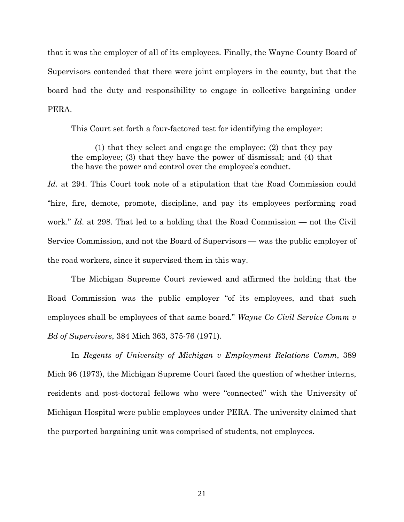that it was the employer of all of its employees. Finally, the Wayne County Board of Supervisors contended that there were joint employers in the county, but that the board had the duty and responsibility to engage in collective bargaining under PERA.

This Court set forth a four-factored test for identifying the employer:

(1) that they select and engage the employee; (2) that they pay the employee; (3) that they have the power of dismissal; and (4) that the have the power and control over the employee's conduct.

Id. at 294. This Court took note of a stipulation that the Road Commission could "hire, fire, demote, promote, discipline, and pay its employees performing road work." Id. at 298. That led to a holding that the Road Commission — not the Civil Service Commission, and not the Board of Supervisors — was the public employer of the road workers, since it supervised them in this way.

The Michigan Supreme Court reviewed and affirmed the holding that the Road Commission was the public employer "of its employees, and that such employees shall be employees of that same board." Wayne Co Civil Service Comm v Bd of Supervisors, 384 Mich 363, 375-76 (1971).

In Regents of University of Michigan v Employment Relations Comm, 389 Mich 96 (1973), the Michigan Supreme Court faced the question of whether interns, residents and post-doctoral fellows who were "connected" with the University of Michigan Hospital were public employees under PERA. The university claimed that the purported bargaining unit was comprised of students, not employees.

21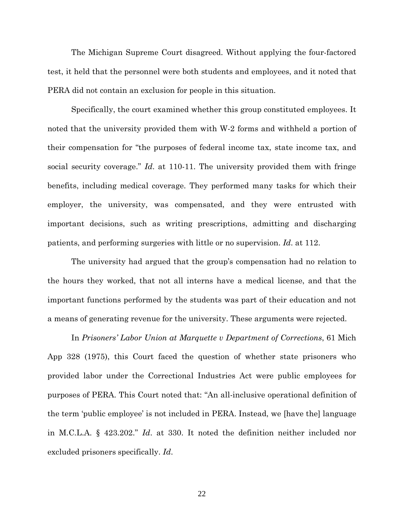The Michigan Supreme Court disagreed. Without applying the four-factored test, it held that the personnel were both students and employees, and it noted that PERA did not contain an exclusion for people in this situation.

Specifically, the court examined whether this group constituted employees. It noted that the university provided them with W-2 forms and withheld a portion of their compensation for "the purposes of federal income tax, state income tax, and social security coverage." Id. at 110-11. The university provided them with fringe benefits, including medical coverage. They performed many tasks for which their employer, the university, was compensated, and they were entrusted with important decisions, such as writing prescriptions, admitting and discharging patients, and performing surgeries with little or no supervision. Id. at 112.

The university had argued that the group's compensation had no relation to the hours they worked, that not all interns have a medical license, and that the important functions performed by the students was part of their education and not a means of generating revenue for the university. These arguments were rejected.

In Prisoners' Labor Union at Marquette v Department of Corrections, 61 Mich App 328 (1975), this Court faced the question of whether state prisoners who provided labor under the Correctional Industries Act were public employees for purposes of PERA. This Court noted that: "An all-inclusive operational definition of the term 'public employee' is not included in PERA. Instead, we [have the] language in M.C.L.A. § 423.202." Id. at 330. It noted the definition neither included nor excluded prisoners specifically. Id.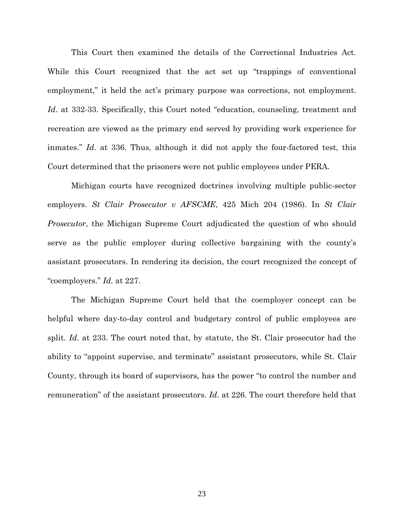This Court then examined the details of the Correctional Industries Act. While this Court recognized that the act set up "trappings of conventional employment," it held the act's primary purpose was corrections, not employment. Id. at 332-33. Specifically, this Court noted "education, counseling, treatment and recreation are viewed as the primary end served by providing work experience for inmates." Id. at 336. Thus, although it did not apply the four-factored test, this Court determined that the prisoners were not public employees under PERA.

Michigan courts have recognized doctrines involving multiple public-sector employers. St Clair Prosecutor v AFSCME, 425 Mich 204 (1986). In St Clair Prosecutor, the Michigan Supreme Court adjudicated the question of who should serve as the public employer during collective bargaining with the county's assistant prosecutors. In rendering its decision, the court recognized the concept of "coemployers." Id. at 227.

The Michigan Supreme Court held that the coemployer concept can be helpful where day-to-day control and budgetary control of public employees are split. Id. at 233. The court noted that, by statute, the St. Clair prosecutor had the ability to "appoint supervise, and terminate" assistant prosecutors, while St. Clair County, through its board of supervisors, has the power "to control the number and remuneration" of the assistant prosecutors. Id. at 226. The court therefore held that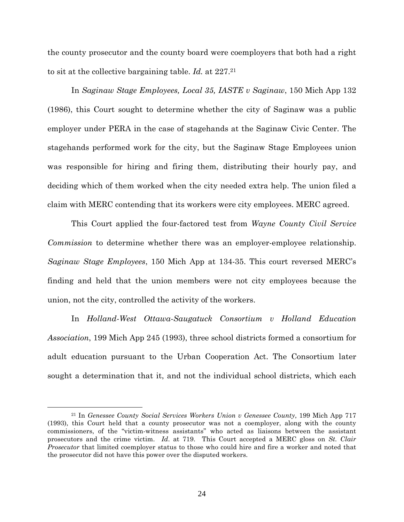the county prosecutor and the county board were coemployers that both had a right to sit at the collective bargaining table. Id. at 227.<sup>21</sup>

In Saginaw Stage Employees, Local 35, IASTE v Saginaw, 150 Mich App 132 (1986), this Court sought to determine whether the city of Saginaw was a public employer under PERA in the case of stagehands at the Saginaw Civic Center. The stagehands performed work for the city, but the Saginaw Stage Employees union was responsible for hiring and firing them, distributing their hourly pay, and deciding which of them worked when the city needed extra help. The union filed a claim with MERC contending that its workers were city employees. MERC agreed.

This Court applied the four-factored test from Wayne County Civil Service Commission to determine whether there was an employer-employee relationship. Saginaw Stage Employees, 150 Mich App at 134-35. This court reversed MERC's finding and held that the union members were not city employees because the union, not the city, controlled the activity of the workers.

In Holland-West Ottawa-Saugatuck Consortium v Holland Education Association, 199 Mich App 245 (1993), three school districts formed a consortium for adult education pursuant to the Urban Cooperation Act. The Consortium later sought a determination that it, and not the individual school districts, which each

<sup>21</sup> In Genessee County Social Services Workers Union v Genessee County, 199 Mich App 717 (1993), this Court held that a county prosecutor was not a coemployer, along with the county commissioners, of the "victim-witness assistants" who acted as liaisons between the assistant prosecutors and the crime victim. Id. at 719. This Court accepted a MERC gloss on St. Clair Prosecutor that limited coemployer status to those who could hire and fire a worker and noted that the prosecutor did not have this power over the disputed workers.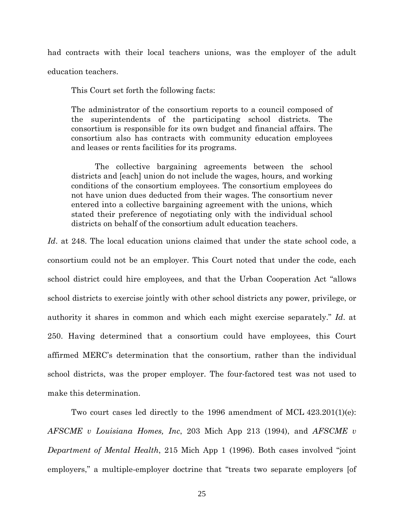had contracts with their local teachers unions, was the employer of the adult education teachers.

This Court set forth the following facts:

The administrator of the consortium reports to a council composed of the superintendents of the participating school districts. The consortium is responsible for its own budget and financial affairs. The consortium also has contracts with community education employees and leases or rents facilities for its programs.

The collective bargaining agreements between the school districts and [each] union do not include the wages, hours, and working conditions of the consortium employees. The consortium employees do not have union dues deducted from their wages. The consortium never entered into a collective bargaining agreement with the unions, which stated their preference of negotiating only with the individual school districts on behalf of the consortium adult education teachers.

Id. at 248. The local education unions claimed that under the state school code, a consortium could not be an employer. This Court noted that under the code, each school district could hire employees, and that the Urban Cooperation Act "allows school districts to exercise jointly with other school districts any power, privilege, or authority it shares in common and which each might exercise separately." Id. at 250. Having determined that a consortium could have employees, this Court affirmed MERC's determination that the consortium, rather than the individual school districts, was the proper employer. The four-factored test was not used to make this determination.

Two court cases led directly to the 1996 amendment of MCL  $423.201(1)(e)$ : AFSCME v Louisiana Homes, Inc. 203 Mich App 213 (1994), and AFSCME v Department of Mental Health, 215 Mich App 1 (1996). Both cases involved "joint employers," a multiple-employer doctrine that "treats two separate employers [of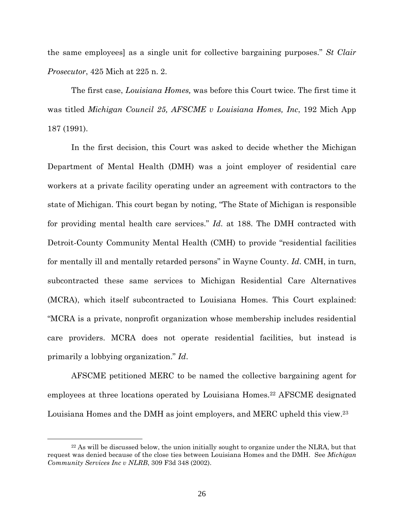the same employees] as a single unit for collective bargaining purposes." St Clair Prosecutor, 425 Mich at 225 n. 2.

The first case, Louisiana Homes, was before this Court twice. The first time it was titled *Michigan Council 25, AFSCME v Louisiana Homes, Inc, 192 Mich App* 187 (1991).

In the first decision, this Court was asked to decide whether the Michigan Department of Mental Health (DMH) was a joint employer of residential care workers at a private facility operating under an agreement with contractors to the state of Michigan. This court began by noting, "The State of Michigan is responsible for providing mental health care services." Id. at 188. The DMH contracted with Detroit-County Community Mental Health (CMH) to provide "residential facilities for mentally ill and mentally retarded persons" in Wayne County. Id. CMH, in turn, subcontracted these same services to Michigan Residential Care Alternatives (MCRA), which itself subcontracted to Louisiana Homes. This Court explained: "MCRA is a private, nonprofit organization whose membership includes residential care providers. MCRA does not operate residential facilities, but instead is primarily a lobbying organization." Id.

AFSCME petitioned MERC to be named the collective bargaining agent for employees at three locations operated by Louisiana Homes.22 AFSCME designated Louisiana Homes and the DMH as joint employers, and MERC upheld this view.<sup>23</sup>

 $22$  As will be discussed below, the union initially sought to organize under the NLRA, but that request was denied because of the close ties between Louisiana Homes and the DMH. See Michigan Community Services Inc v NLRB, 309 F3d 348 (2002).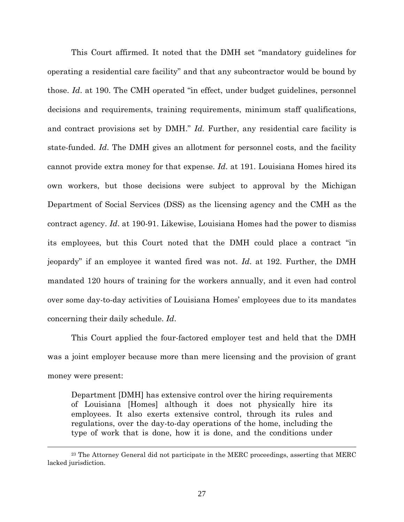This Court affirmed. It noted that the DMH set "mandatory guidelines for operating a residential care facility" and that any subcontractor would be bound by those. Id. at 190. The CMH operated "in effect, under budget guidelines, personnel decisions and requirements, training requirements, minimum staff qualifications, and contract provisions set by DMH." Id. Further, any residential care facility is state-funded. Id. The DMH gives an allotment for personnel costs, and the facility cannot provide extra money for that expense. Id. at 191. Louisiana Homes hired its own workers, but those decisions were subject to approval by the Michigan Department of Social Services (DSS) as the licensing agency and the CMH as the contract agency. Id. at 190-91. Likewise, Louisiana Homes had the power to dismiss its employees, but this Court noted that the DMH could place a contract "in jeopardy" if an employee it wanted fired was not. Id. at 192. Further, the DMH mandated 120 hours of training for the workers annually, and it even had control over some day-to-day activities of Louisiana Homes' employees due to its mandates concerning their daily schedule. Id.

This Court applied the four-factored employer test and held that the DMH was a joint employer because more than mere licensing and the provision of grant money were present:

Department [DMH] has extensive control over the hiring requirements of Louisiana [Homes] although it does not physically hire its employees. It also exerts extensive control, through its rules and regulations, over the day-to-day operations of the home, including the type of work that is done, how it is done, and the conditions under

<sup>&</sup>lt;sup>23</sup> The Attorney General did not participate in the MERC proceedings, asserting that MERC lacked jurisdiction.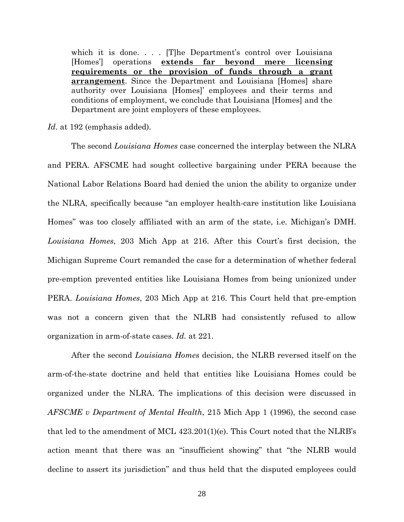which it is done.... [T]he Department's control over Louisiana [Homes'] operations extends far beyond mere licensing requirements or the provision of funds through a grant arrangement. Since the Department and Louisiana [Homes] share authority over Louisiana [Homes]' employees and their terms and conditions of employment, we conclude that Louisiana [Homes] and the Department are joint employers of these employees.

Id. at 192 (emphasis added).

The second Louisiana Homes case concerned the interplay between the NLRA and PERA. AFSCME had sought collective bargaining under PERA because the National Labor Relations Board had denied the union the ability to organize under the NLRA, specifically because "an employer health-care institution like Louisiana Homes" was too closely affiliated with an arm of the state, i.e. Michigan's DMH. Louisiana Homes, 203 Mich App at 216. After this Court's first decision, the Michigan Supreme Court remanded the case for a determination of whether federal pre-emption prevented entities like Louisiana Homes from being unionized under PERA. Louisiana Homes, 203 Mich App at 216. This Court held that pre-emption was not a concern given that the NLRB had consistently refused to allow organization in arm-of-state cases. Id. at 221.

After the second Louisiana Homes decision, the NLRB reversed itself on the arm-of-the-state doctrine and held that entities like Louisiana Homes could be organized under the NLRA. The implications of this decision were discussed in AFSCME v Department of Mental Health, 215 Mich App 1 (1996), the second case that led to the amendment of MCL 423.201(1)(e). This Court noted that the NLRB's action meant that there was an "insufficient showing" that "the NLRB would decline to assert its jurisdiction" and thus held that the disputed employees could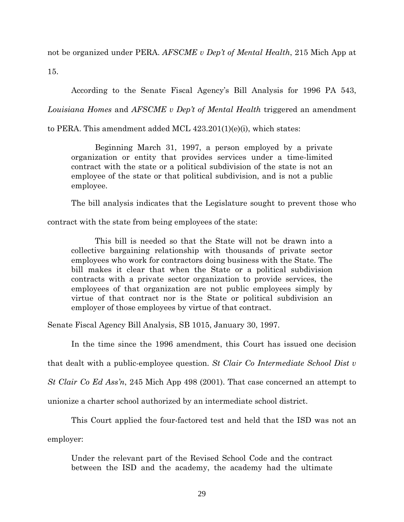not be organized under PERA. AFSCME v Dep't of Mental Health, 215 Mich App at

15.

According to the Senate Fiscal Agency's Bill Analysis for 1996 PA 543,

Louisiana Homes and AFSCME v Dep't of Mental Health triggered an amendment

to PERA. This amendment added MCL 423.201(1)(e)(i), which states:

Beginning March 31, 1997, a person employed by a private organization or entity that provides services under a time-limited contract with the state or a political subdivision of the state is not an employee of the state or that political subdivision, and is not a public employee.

The bill analysis indicates that the Legislature sought to prevent those who

contract with the state from being employees of the state:

This bill is needed so that the State will not be drawn into a collective bargaining relationship with thousands of private sector employees who work for contractors doing business with the State. The bill makes it clear that when the State or a political subdivision contracts with a private sector organization to provide services, the employees of that organization are not public employees simply by virtue of that contract nor is the State or political subdivision an employer of those employees by virtue of that contract.

Senate Fiscal Agency Bill Analysis, SB 1015, January 30, 1997.

In the time since the 1996 amendment, this Court has issued one decision

that dealt with a public-employee question. St Clair Co Intermediate School Dist v

St Clair Co Ed Ass'n, 245 Mich App 498 (2001). That case concerned an attempt to

unionize a charter school authorized by an intermediate school district.

This Court applied the four-factored test and held that the ISD was not an

employer:

Under the relevant part of the Revised School Code and the contract between the ISD and the academy, the academy had the ultimate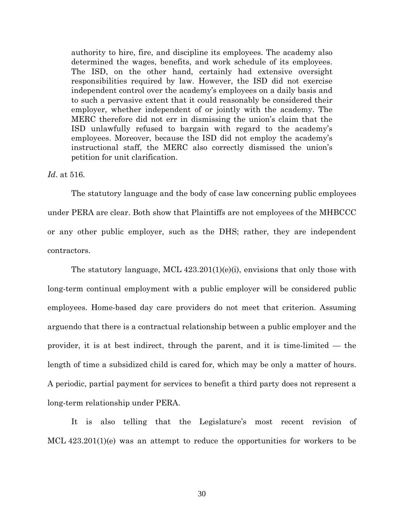authority to hire, fire, and discipline its employees. The academy also determined the wages, benefits, and work schedule of its employees. The ISD, on the other hand, certainly had extensive oversight responsibilities required by law. However, the ISD did not exercise independent control over the academy's employees on a daily basis and to such a pervasive extent that it could reasonably be considered their employer, whether independent of or jointly with the academy. The MERC therefore did not err in dismissing the union's claim that the ISD unlawfully refused to bargain with regard to the academy's employees. Moreover, because the ISD did not employ the academy's instructional staff, the MERC also correctly dismissed the union's petition for unit clarification.

#### Id. at 516.

The statutory language and the body of case law concerning public employees under PERA are clear. Both show that Plaintiffs are not employees of the MHBCCC or any other public employer, such as the DHS; rather, they are independent contractors.

The statutory language, MCL 423.201(1)(e)(i), envisions that only those with long-term continual employment with a public employer will be considered public employees. Home-based day care providers do not meet that criterion. Assuming arguendo that there is a contractual relationship between a public employer and the provider, it is at best indirect, through the parent, and it is time-limited — the length of time a subsidized child is cared for, which may be only a matter of hours. A periodic, partial payment for services to benefit a third party does not represent a long-term relationship under PERA.

It is also telling that the Legislature's most recent revision of MCL 423.201(1)(e) was an attempt to reduce the opportunities for workers to be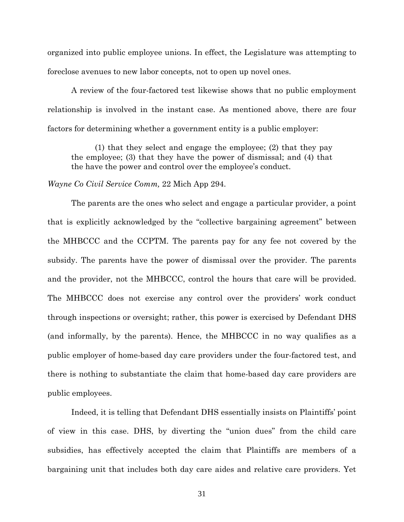organized into public employee unions. In effect, the Legislature was attempting to foreclose avenues to new labor concepts, not to open up novel ones.

A review of the four-factored test likewise shows that no public employment relationship is involved in the instant case. As mentioned above, there are four factors for determining whether a government entity is a public employer:

(1) that they select and engage the employee; (2) that they pay the employee; (3) that they have the power of dismissal; and (4) that the have the power and control over the employee's conduct.

Wayne Co Civil Service Comm, 22 Mich App 294.

The parents are the ones who select and engage a particular provider, a point that is explicitly acknowledged by the "collective bargaining agreement" between the MHBCCC and the CCPTM. The parents pay for any fee not covered by the subsidy. The parents have the power of dismissal over the provider. The parents and the provider, not the MHBCCC, control the hours that care will be provided. The MHBCCC does not exercise any control over the providers' work conduct through inspections or oversight; rather, this power is exercised by Defendant DHS (and informally, by the parents). Hence, the MHBCCC in no way qualifies as a public employer of home-based day care providers under the four-factored test, and there is nothing to substantiate the claim that home-based day care providers are public employees.

Indeed, it is telling that Defendant DHS essentially insists on Plaintiffs' point of view in this case. DHS, by diverting the "union dues" from the child care subsidies, has effectively accepted the claim that Plaintiffs are members of a bargaining unit that includes both day care aides and relative care providers. Yet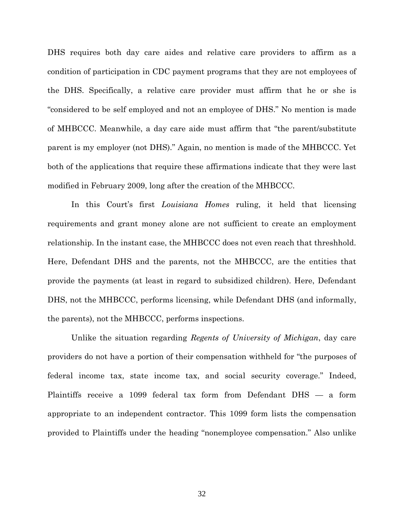DHS requires both day care aides and relative care providers to affirm as a condition of participation in CDC payment programs that they are not employees of the DHS. Specifically, a relative care provider must affirm that he or she is "considered to be self employed and not an employee of DHS." No mention is made of MHBCCC. Meanwhile, a day care aide must affirm that "the parent/substitute parent is my employer (not DHS)." Again, no mention is made of the MHBCCC. Yet both of the applications that require these affirmations indicate that they were last modified in February 2009, long after the creation of the MHBCCC.

In this Court's first *Louisiana Homes* ruling, it held that licensing requirements and grant money alone are not sufficient to create an employment relationship. In the instant case, the MHBCCC does not even reach that threshhold. Here, Defendant DHS and the parents, not the MHBCCC, are the entities that provide the payments (at least in regard to subsidized children). Here, Defendant DHS, not the MHBCCC, performs licensing, while Defendant DHS (and informally, the parents), not the MHBCCC, performs inspections.

Unlike the situation regarding Regents of University of Michigan, day care providers do not have a portion of their compensation withheld for "the purposes of federal income tax, state income tax, and social security coverage." Indeed, Plaintiffs receive a 1099 federal tax form from Defendant DHS — a form appropriate to an independent contractor. This 1099 form lists the compensation provided to Plaintiffs under the heading "nonemployee compensation." Also unlike

32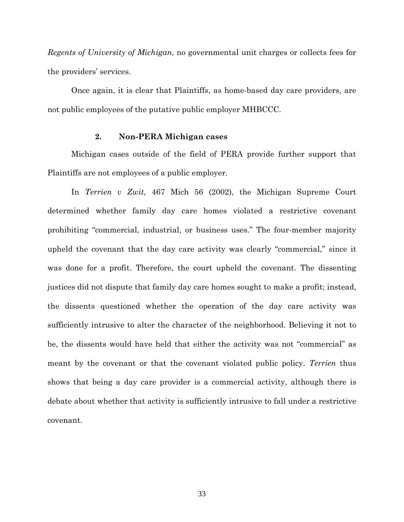Regents of University of Michigan, no governmental unit charges or collects fees for the providers' services.

Once again, it is clear that Plaintiffs, as home-based day care providers, are not public employees of the putative public employer MHBCCC.

#### 2. Non-PERA Michigan cases

Michigan cases outside of the field of PERA provide further support that Plaintiffs are not employees of a public employer.

In Terrien v Zwit, 467 Mich 56 (2002), the Michigan Supreme Court determined whether family day care homes violated a restrictive covenant prohibiting "commercial, industrial, or business uses." The four-member majority upheld the covenant that the day care activity was clearly "commercial," since it was done for a profit. Therefore, the court upheld the covenant. The dissenting justices did not dispute that family day care homes sought to make a profit; instead, the dissents questioned whether the operation of the day care activity was sufficiently intrusive to alter the character of the neighborhood. Believing it not to be, the dissents would have held that either the activity was not "commercial" as meant by the covenant or that the covenant violated public policy. Terrien thus shows that being a day care provider is a commercial activity, although there is debate about whether that activity is sufficiently intrusive to fall under a restrictive covenant.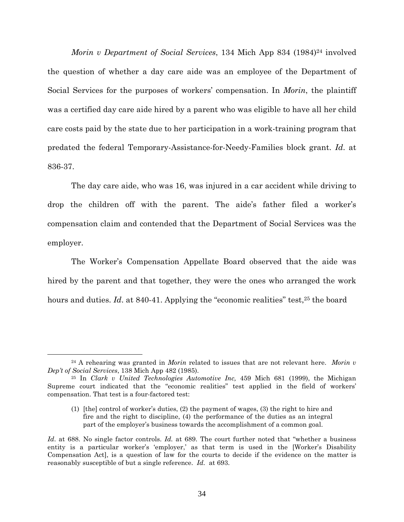Morin v Department of Social Services, 134 Mich App 834 (1984)<sup>24</sup> involved the question of whether a day care aide was an employee of the Department of Social Services for the purposes of workers' compensation. In Morin, the plaintiff was a certified day care aide hired by a parent who was eligible to have all her child care costs paid by the state due to her participation in a work-training program that predated the federal Temporary-Assistance-for-Needy-Families block grant. Id. at 836-37.

The day care aide, who was 16, was injured in a car accident while driving to drop the children off with the parent. The aide's father filed a worker's compensation claim and contended that the Department of Social Services was the employer.

The Worker's Compensation Appellate Board observed that the aide was hired by the parent and that together, they were the ones who arranged the work hours and duties. Id. at 840-41. Applying the "economic realities" test,<sup>25</sup> the board

-

 $24$  A rehearing was granted in *Morin* related to issues that are not relevant here. *Morin v* Dep't of Social Services, 138 Mich App 482 (1985).

<sup>25</sup> In Clark v United Technologies Automotive Inc, 459 Mich 681 (1999), the Michigan Supreme court indicated that the "economic realities" test applied in the field of workers' compensation. That test is a four-factored test:

<sup>(1)</sup> [the] control of worker's duties, (2) the payment of wages, (3) the right to hire and fire and the right to discipline, (4) the performance of the duties as an integral part of the employer's business towards the accomplishment of a common goal.

Id. at 688. No single factor controls. Id. at 689. The court further noted that "whether a business" entity is a particular worker's 'employer,' as that term is used in the [Worker's Disability Compensation Act], is a question of law for the courts to decide if the evidence on the matter is reasonably susceptible of but a single reference. Id. at 693.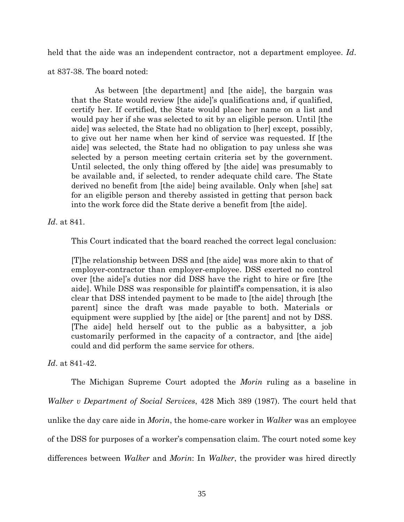held that the aide was an independent contractor, not a department employee. Id.

at 837-38. The board noted:

As between [the department] and [the aide], the bargain was that the State would review [the aide]'s qualifications and, if qualified, certify her. If certified, the State would place her name on a list and would pay her if she was selected to sit by an eligible person. Until [the aide] was selected, the State had no obligation to [her] except, possibly, to give out her name when her kind of service was requested. If [the aide] was selected, the State had no obligation to pay unless she was selected by a person meeting certain criteria set by the government. Until selected, the only thing offered by [the aide] was presumably to be available and, if selected, to render adequate child care. The State derived no benefit from [the aide] being available. Only when [she] sat for an eligible person and thereby assisted in getting that person back into the work force did the State derive a benefit from [the aide].

Id. at 841.

This Court indicated that the board reached the correct legal conclusion:

[T]he relationship between DSS and [the aide] was more akin to that of employer-contractor than employer-employee. DSS exerted no control over [the aide]'s duties nor did DSS have the right to hire or fire [the aide]. While DSS was responsible for plaintiff's compensation, it is also clear that DSS intended payment to be made to [the aide] through [the parent] since the draft was made payable to both. Materials or equipment were supplied by [the aide] or [the parent] and not by DSS. [The aide] held herself out to the public as a babysitter, a job customarily performed in the capacity of a contractor, and [the aide] could and did perform the same service for others.

Id. at 841-42.

The Michigan Supreme Court adopted the *Morin* ruling as a baseline in Walker v Department of Social Services, 428 Mich 389 (1987). The court held that unlike the day care aide in *Morin*, the home-care worker in *Walker* was an employee of the DSS for purposes of a worker's compensation claim. The court noted some key differences between Walker and Morin: In Walker, the provider was hired directly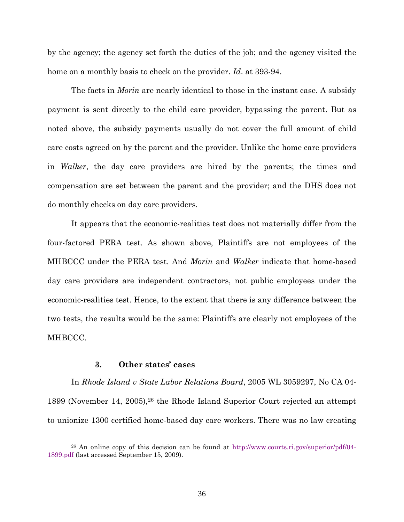by the agency; the agency set forth the duties of the job; and the agency visited the home on a monthly basis to check on the provider. Id. at 393-94.

The facts in *Morin* are nearly identical to those in the instant case. A subsidy payment is sent directly to the child care provider, bypassing the parent. But as noted above, the subsidy payments usually do not cover the full amount of child care costs agreed on by the parent and the provider. Unlike the home care providers in Walker, the day care providers are hired by the parents; the times and compensation are set between the parent and the provider; and the DHS does not do monthly checks on day care providers.

It appears that the economic-realities test does not materially differ from the four-factored PERA test. As shown above, Plaintiffs are not employees of the MHBCCC under the PERA test. And Morin and Walker indicate that home-based day care providers are independent contractors, not public employees under the economic-realities test. Hence, to the extent that there is any difference between the two tests, the results would be the same: Plaintiffs are clearly not employees of the MHBCCC.

### 3. Other states' cases

<u>.</u>

In Rhode Island v State Labor Relations Board, 2005 WL 3059297, No CA 04- 1899 (November 14, 2005),26 the Rhode Island Superior Court rejected an attempt to unionize 1300 certified home-based day care workers. There was no law creating

<sup>26</sup> An online copy of this decision can be found at http://www.courts.ri.gov/superior/pdf/04- 1899.pdf (last accessed September 15, 2009).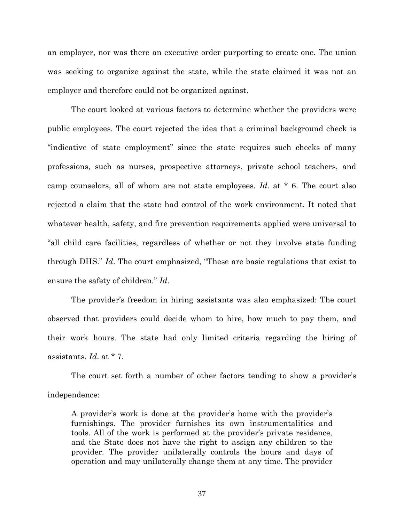an employer, nor was there an executive order purporting to create one. The union was seeking to organize against the state, while the state claimed it was not an employer and therefore could not be organized against.

The court looked at various factors to determine whether the providers were public employees. The court rejected the idea that a criminal background check is "indicative of state employment" since the state requires such checks of many professions, such as nurses, prospective attorneys, private school teachers, and camp counselors, all of whom are not state employees. Id. at \* 6. The court also rejected a claim that the state had control of the work environment. It noted that whatever health, safety, and fire prevention requirements applied were universal to "all child care facilities, regardless of whether or not they involve state funding through DHS." Id. The court emphasized, "These are basic regulations that exist to ensure the safety of children." Id.

The provider's freedom in hiring assistants was also emphasized: The court observed that providers could decide whom to hire, how much to pay them, and their work hours. The state had only limited criteria regarding the hiring of assistants. Id. at \* 7.

The court set forth a number of other factors tending to show a provider's independence:

A provider's work is done at the provider's home with the provider's furnishings. The provider furnishes its own instrumentalities and tools. All of the work is performed at the provider's private residence, and the State does not have the right to assign any children to the provider. The provider unilaterally controls the hours and days of operation and may unilaterally change them at any time. The provider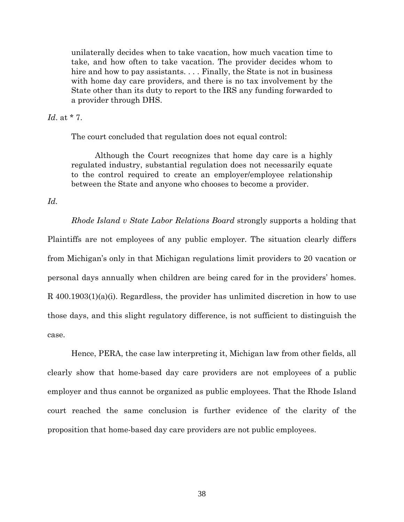unilaterally decides when to take vacation, how much vacation time to take, and how often to take vacation. The provider decides whom to hire and how to pay assistants.... Finally, the State is not in business with home day care providers, and there is no tax involvement by the State other than its duty to report to the IRS any funding forwarded to a provider through DHS.

### Id. at \* 7.

The court concluded that regulation does not equal control:

Although the Court recognizes that home day care is a highly regulated industry, substantial regulation does not necessarily equate to the control required to create an employer/employee relationship between the State and anyone who chooses to become a provider.

### Id.

Rhode Island v State Labor Relations Board strongly supports a holding that Plaintiffs are not employees of any public employer. The situation clearly differs from Michigan's only in that Michigan regulations limit providers to 20 vacation or personal days annually when children are being cared for in the providers' homes. R 400.1903(1)(a)(i). Regardless, the provider has unlimited discretion in how to use those days, and this slight regulatory difference, is not sufficient to distinguish the case.

Hence, PERA, the case law interpreting it, Michigan law from other fields, all clearly show that home-based day care providers are not employees of a public employer and thus cannot be organized as public employees. That the Rhode Island court reached the same conclusion is further evidence of the clarity of the proposition that home-based day care providers are not public employees.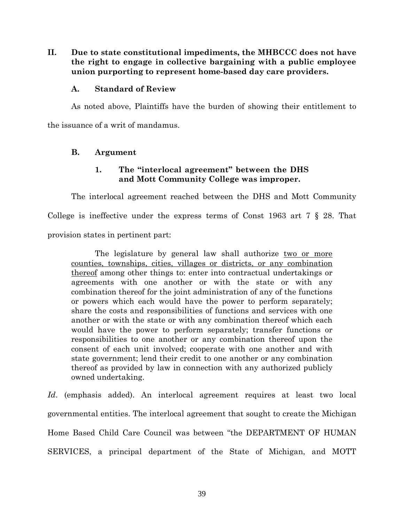II. Due to state constitutional impediments, the MHBCCC does not have the right to engage in collective bargaining with a public employee union purporting to represent home-based day care providers.

### A. Standard of Review

As noted above, Plaintiffs have the burden of showing their entitlement to the issuance of a writ of mandamus.

### B. Argument

### 1. The "interlocal agreement" between the DHS and Mott Community College was improper.

The interlocal agreement reached between the DHS and Mott Community College is ineffective under the express terms of Const 1963 art 7 § 28. That provision states in pertinent part:

The legislature by general law shall authorize two or more counties, townships, cities, villages or districts, or any combination thereof among other things to: enter into contractual undertakings or agreements with one another or with the state or with any combination thereof for the joint administration of any of the functions or powers which each would have the power to perform separately; share the costs and responsibilities of functions and services with one another or with the state or with any combination thereof which each would have the power to perform separately; transfer functions or responsibilities to one another or any combination thereof upon the consent of each unit involved; cooperate with one another and with state government; lend their credit to one another or any combination thereof as provided by law in connection with any authorized publicly owned undertaking.

Id. (emphasis added). An interlocal agreement requires at least two local governmental entities. The interlocal agreement that sought to create the Michigan Home Based Child Care Council was between "the DEPARTMENT OF HUMAN SERVICES, a principal department of the State of Michigan, and MOTT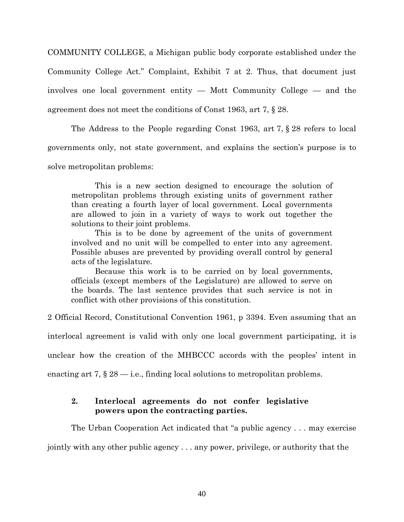COMMUNITY COLLEGE, a Michigan public body corporate established under the Community College Act." Complaint, Exhibit 7 at 2. Thus, that document just involves one local government entity — Mott Community College — and the agreement does not meet the conditions of Const 1963, art 7, § 28.

The Address to the People regarding Const 1963, art 7, § 28 refers to local governments only, not state government, and explains the section's purpose is to solve metropolitan problems:

This is a new section designed to encourage the solution of metropolitan problems through existing units of government rather than creating a fourth layer of local government. Local governments are allowed to join in a variety of ways to work out together the solutions to their joint problems.

This is to be done by agreement of the units of government involved and no unit will be compelled to enter into any agreement. Possible abuses are prevented by providing overall control by general acts of the legislature.

Because this work is to be carried on by local governments, officials (except members of the Legislature) are allowed to serve on the boards. The last sentence provides that such service is not in conflict with other provisions of this constitution.

2 Official Record, Constitutional Convention 1961, p 3394. Even assuming that an

interlocal agreement is valid with only one local government participating, it is

unclear how the creation of the MHBCCC accords with the peoples' intent in

enacting art 7,  $\S 28$  — i.e., finding local solutions to metropolitan problems.

### 2. Interlocal agreements do not confer legislative powers upon the contracting parties.

The Urban Cooperation Act indicated that "a public agency . . . may exercise

jointly with any other public agency . . . any power, privilege, or authority that the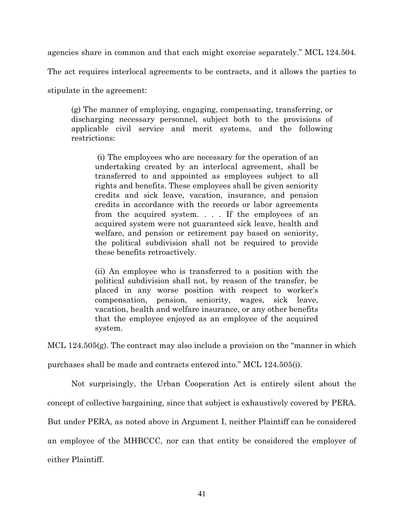agencies share in common and that each might exercise separately." MCL 124.504.

The act requires interlocal agreements to be contracts, and it allows the parties to

stipulate in the agreement:

(g) The manner of employing, engaging, compensating, transferring, or discharging necessary personnel, subject both to the provisions of applicable civil service and merit systems, and the following restrictions:

 (i) The employees who are necessary for the operation of an undertaking created by an interlocal agreement, shall be transferred to and appointed as employees subject to all rights and benefits. These employees shall be given seniority credits and sick leave, vacation, insurance, and pension credits in accordance with the records or labor agreements from the acquired system. . . . If the employees of an acquired system were not guaranteed sick leave, health and welfare, and pension or retirement pay based on seniority, the political subdivision shall not be required to provide these benefits retroactively.

(ii) An employee who is transferred to a position with the political subdivision shall not, by reason of the transfer, be placed in any worse position with respect to worker's compensation, pension, seniority, wages, sick leave, vacation, health and welfare insurance, or any other benefits that the employee enjoyed as an employee of the acquired system.

MCL 124.505(g). The contract may also include a provision on the "manner in which purchases shall be made and contracts entered into." MCL 124.505(i).

Not surprisingly, the Urban Cooperation Act is entirely silent about the concept of collective bargaining, since that subject is exhaustively covered by PERA. But under PERA, as noted above in Argument I, neither Plaintiff can be considered

an employee of the MHBCCC, nor can that entity be considered the employer of

either Plaintiff.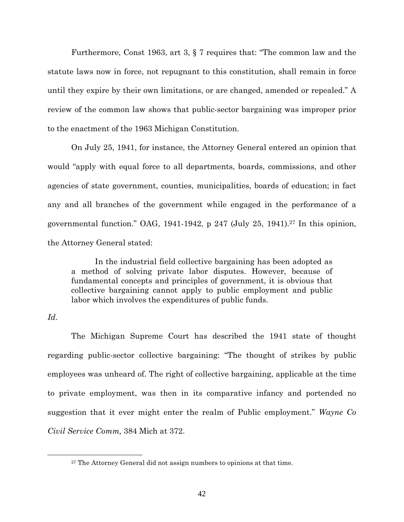Furthermore, Const 1963, art 3, § 7 requires that: "The common law and the statute laws now in force, not repugnant to this constitution, shall remain in force until they expire by their own limitations, or are changed, amended or repealed." A review of the common law shows that public-sector bargaining was improper prior to the enactment of the 1963 Michigan Constitution.

On July 25, 1941, for instance, the Attorney General entered an opinion that would "apply with equal force to all departments, boards, commissions, and other agencies of state government, counties, municipalities, boards of education; in fact any and all branches of the government while engaged in the performance of a governmental function." OAG,  $1941-1942$ , p  $247$  (July  $25$ ,  $1941$ ).<sup>27</sup> In this opinion, the Attorney General stated:

In the industrial field collective bargaining has been adopted as a method of solving private labor disputes. However, because of fundamental concepts and principles of government, it is obvious that collective bargaining cannot apply to public employment and public labor which involves the expenditures of public funds.

### Id.

-

The Michigan Supreme Court has described the 1941 state of thought regarding public-sector collective bargaining: "The thought of strikes by public employees was unheard of. The right of collective bargaining, applicable at the time to private employment, was then in its comparative infancy and portended no suggestion that it ever might enter the realm of Public employment." Wayne Co Civil Service Comm, 384 Mich at 372.

<sup>27</sup> The Attorney General did not assign numbers to opinions at that time.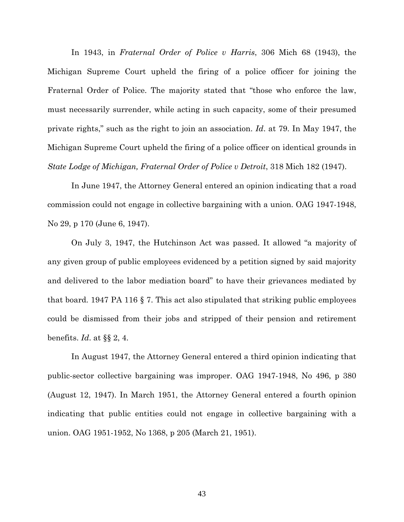In 1943, in Fraternal Order of Police v Harris, 306 Mich 68 (1943), the Michigan Supreme Court upheld the firing of a police officer for joining the Fraternal Order of Police. The majority stated that "those who enforce the law, must necessarily surrender, while acting in such capacity, some of their presumed private rights," such as the right to join an association. Id. at 79. In May 1947, the Michigan Supreme Court upheld the firing of a police officer on identical grounds in State Lodge of Michigan, Fraternal Order of Police v Detroit, 318 Mich 182 (1947).

In June 1947, the Attorney General entered an opinion indicating that a road commission could not engage in collective bargaining with a union. OAG 1947-1948, No 29, p 170 (June 6, 1947).

On July 3, 1947, the Hutchinson Act was passed. It allowed "a majority of any given group of public employees evidenced by a petition signed by said majority and delivered to the labor mediation board" to have their grievances mediated by that board. 1947 PA 116 § 7. This act also stipulated that striking public employees could be dismissed from their jobs and stripped of their pension and retirement benefits. Id. at  $\S\S 2, 4$ .

In August 1947, the Attorney General entered a third opinion indicating that public-sector collective bargaining was improper. OAG 1947-1948, No 496, p 380 (August 12, 1947). In March 1951, the Attorney General entered a fourth opinion indicating that public entities could not engage in collective bargaining with a union. OAG 1951-1952, No 1368, p 205 (March 21, 1951).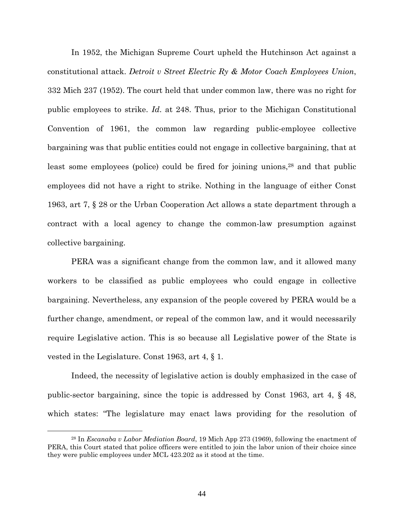In 1952, the Michigan Supreme Court upheld the Hutchinson Act against a constitutional attack. Detroit v Street Electric Ry & Motor Coach Employees Union, 332 Mich 237 (1952). The court held that under common law, there was no right for public employees to strike. Id. at 248. Thus, prior to the Michigan Constitutional Convention of 1961, the common law regarding public-employee collective bargaining was that public entities could not engage in collective bargaining, that at least some employees (police) could be fired for joining unions,<sup>28</sup> and that public employees did not have a right to strike. Nothing in the language of either Const 1963, art 7, § 28 or the Urban Cooperation Act allows a state department through a contract with a local agency to change the common-law presumption against collective bargaining.

PERA was a significant change from the common law, and it allowed many workers to be classified as public employees who could engage in collective bargaining. Nevertheless, any expansion of the people covered by PERA would be a further change, amendment, or repeal of the common law, and it would necessarily require Legislative action. This is so because all Legislative power of the State is vested in the Legislature. Const 1963, art 4, § 1.

Indeed, the necessity of legislative action is doubly emphasized in the case of public-sector bargaining, since the topic is addressed by Const 1963, art 4, § 48, which states: "The legislature may enact laws providing for the resolution of

<sup>&</sup>lt;sup>28</sup> In *Escanaba v Labor Mediation Board*, 19 Mich App 273 (1969), following the enactment of PERA, this Court stated that police officers were entitled to join the labor union of their choice since they were public employees under MCL 423.202 as it stood at the time.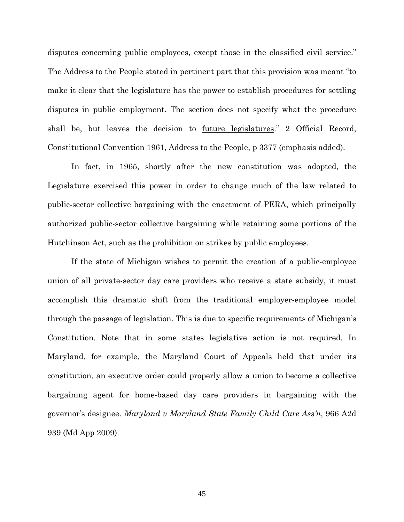disputes concerning public employees, except those in the classified civil service." The Address to the People stated in pertinent part that this provision was meant "to make it clear that the legislature has the power to establish procedures for settling disputes in public employment. The section does not specify what the procedure shall be, but leaves the decision to future legislatures." 2 Official Record, Constitutional Convention 1961, Address to the People, p 3377 (emphasis added).

In fact, in 1965, shortly after the new constitution was adopted, the Legislature exercised this power in order to change much of the law related to public-sector collective bargaining with the enactment of PERA, which principally authorized public-sector collective bargaining while retaining some portions of the Hutchinson Act, such as the prohibition on strikes by public employees.

If the state of Michigan wishes to permit the creation of a public-employee union of all private-sector day care providers who receive a state subsidy, it must accomplish this dramatic shift from the traditional employer-employee model through the passage of legislation. This is due to specific requirements of Michigan's Constitution. Note that in some states legislative action is not required. In Maryland, for example, the Maryland Court of Appeals held that under its constitution, an executive order could properly allow a union to become a collective bargaining agent for home-based day care providers in bargaining with the governor's designee. Maryland v Maryland State Family Child Care Ass'n, 966 A2d 939 (Md App 2009).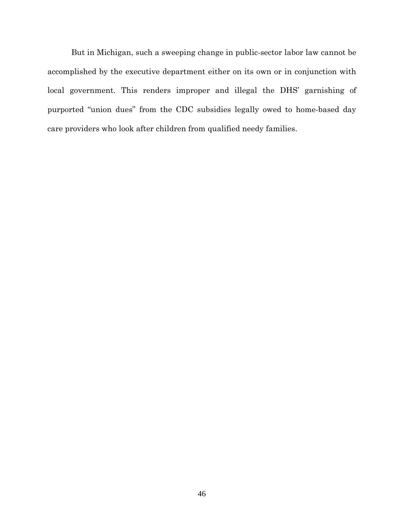But in Michigan, such a sweeping change in public-sector labor law cannot be accomplished by the executive department either on its own or in conjunction with local government. This renders improper and illegal the DHS' garnishing of purported "union dues" from the CDC subsidies legally owed to home-based day care providers who look after children from qualified needy families.